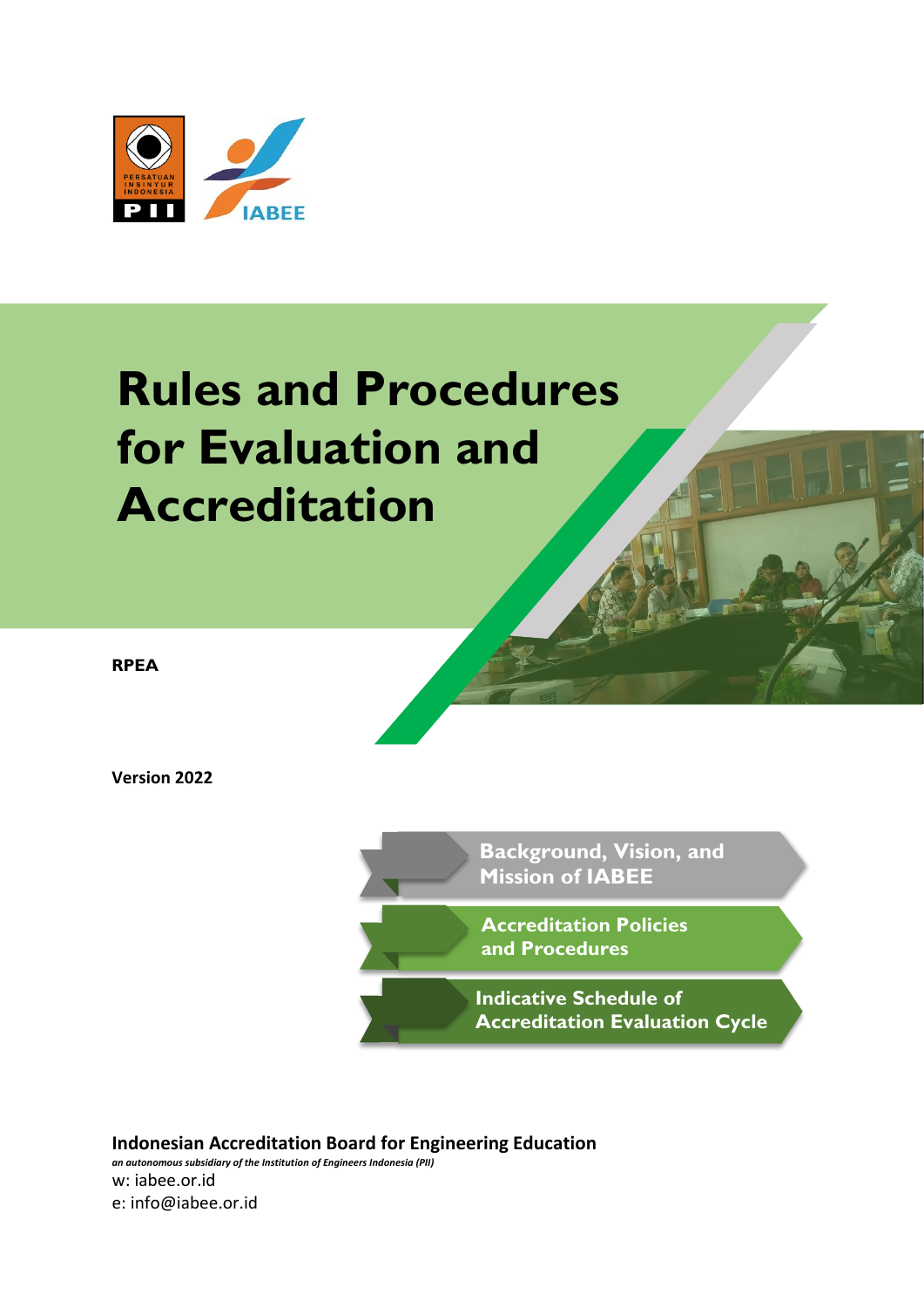

# **Rules and Procedures for Evaluation and Accreditation**

**RPEA**

**Version 2022**

ľ **Background, Vision, and Mission of IABEE**

 **Accreditation Policies and Procedures**

 **Accreditation Evaluation CycleIndicative Schedule of** 

**Indonesian Accreditation Board for Engineering Education** *an autonomous subsidiary of the Institution of Engineers Indonesia (PII)* w: iabee.or.id e: info@iabee.or.id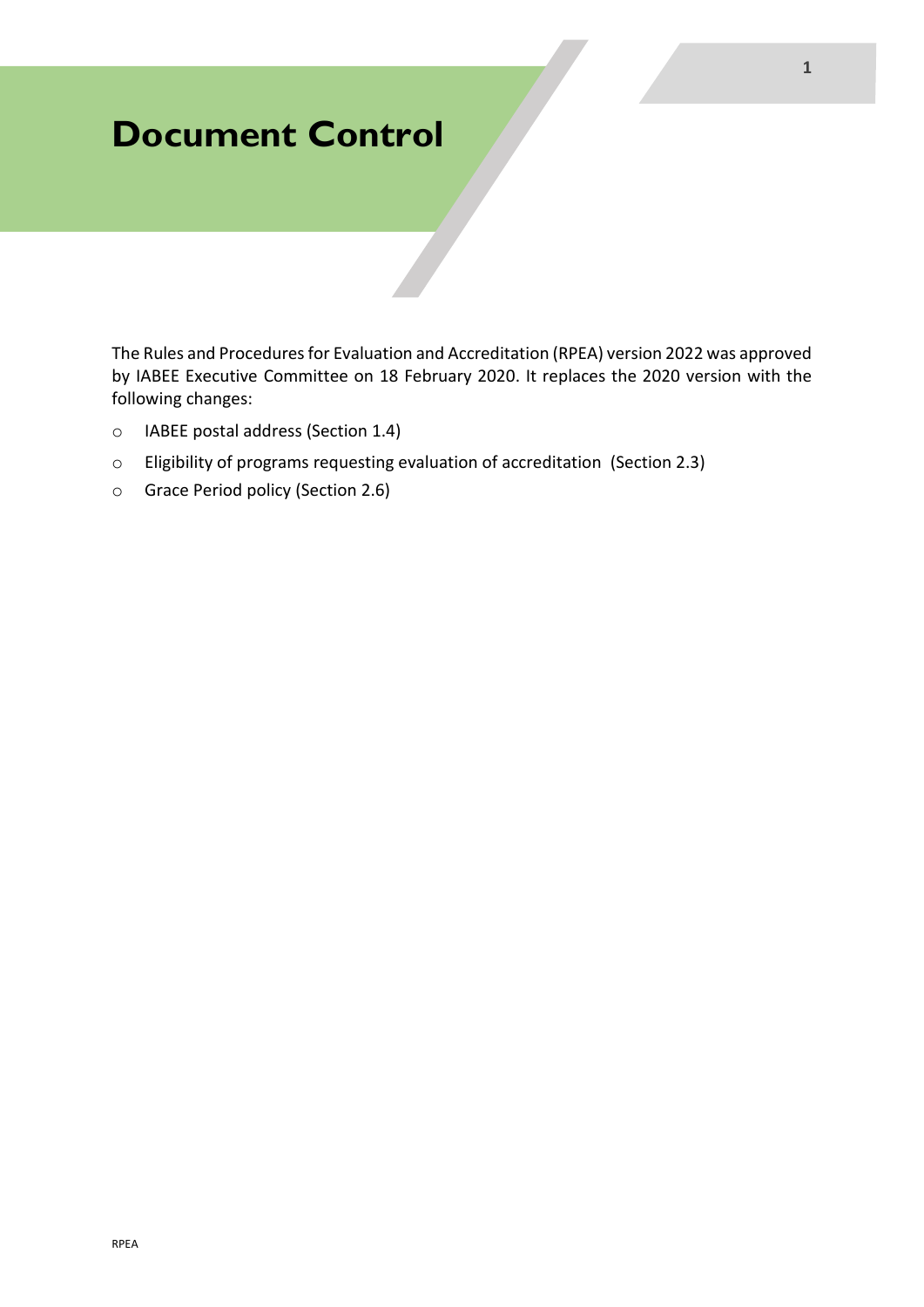## **Document Control**

The Rules and Procedures for Evaluation and Accreditation (RPEA) version 2022 was approved by IABEE Executive Committee on 18 February 2020. It replaces the 2020 version with the following changes:

- o IABEE postal address (Section 1.4)
- o Eligibility of programs requesting evaluation of accreditation (Section 2.3)
- o Grace Period policy (Section 2.6)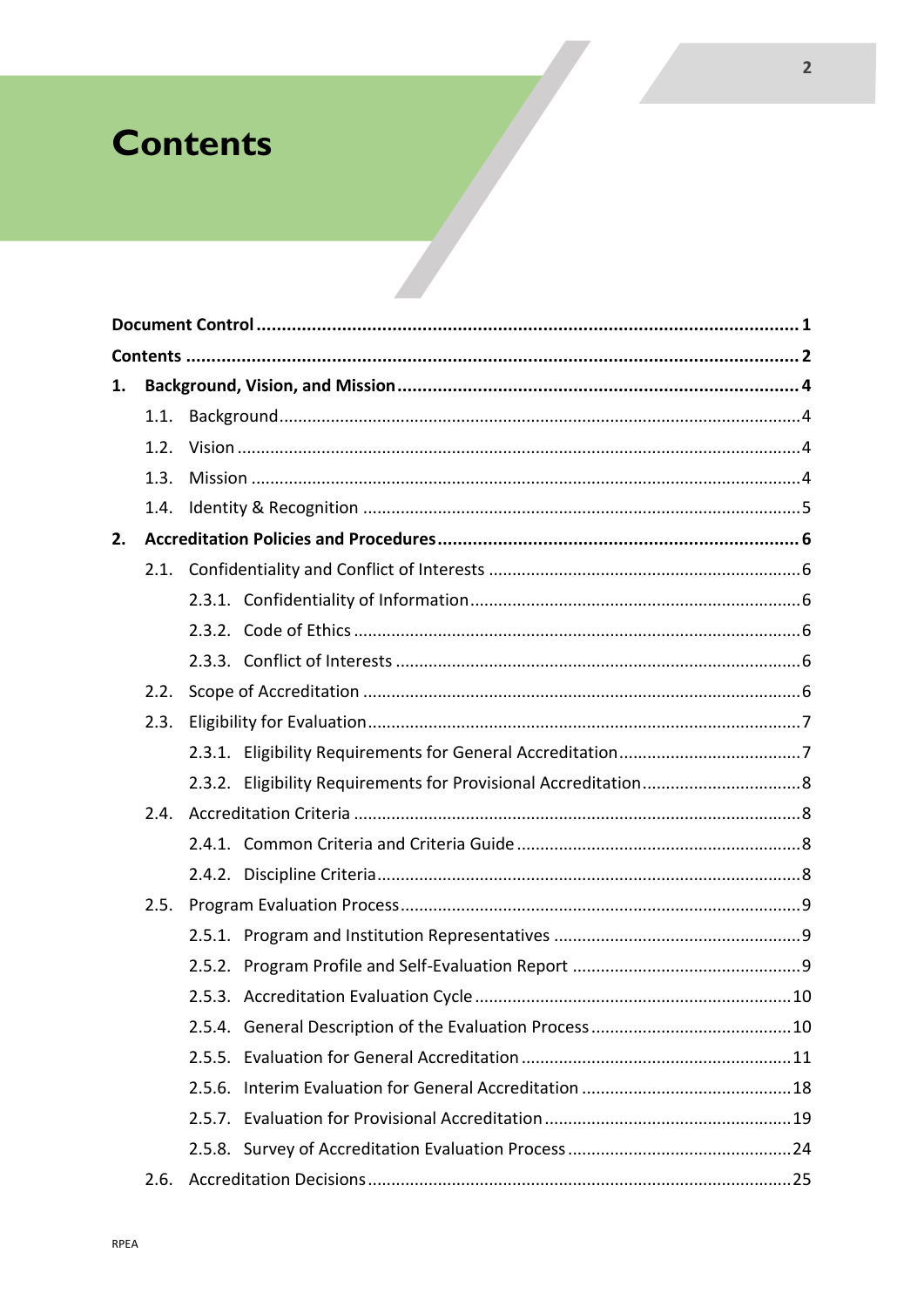## **Contents**

| 1. |      |  |
|----|------|--|
|    |      |  |
|    | 1.2. |  |
|    | 1.3. |  |
|    | 1.4. |  |
| 2. |      |  |
|    |      |  |
|    |      |  |
|    |      |  |
|    |      |  |
|    | 2.2. |  |
|    | 2.3. |  |
|    |      |  |
|    |      |  |
|    | 2.4. |  |
|    |      |  |
|    |      |  |
|    | 2.5. |  |
|    |      |  |
|    |      |  |
|    |      |  |
|    |      |  |
|    |      |  |
|    |      |  |
|    |      |  |
|    |      |  |
|    | 2.6. |  |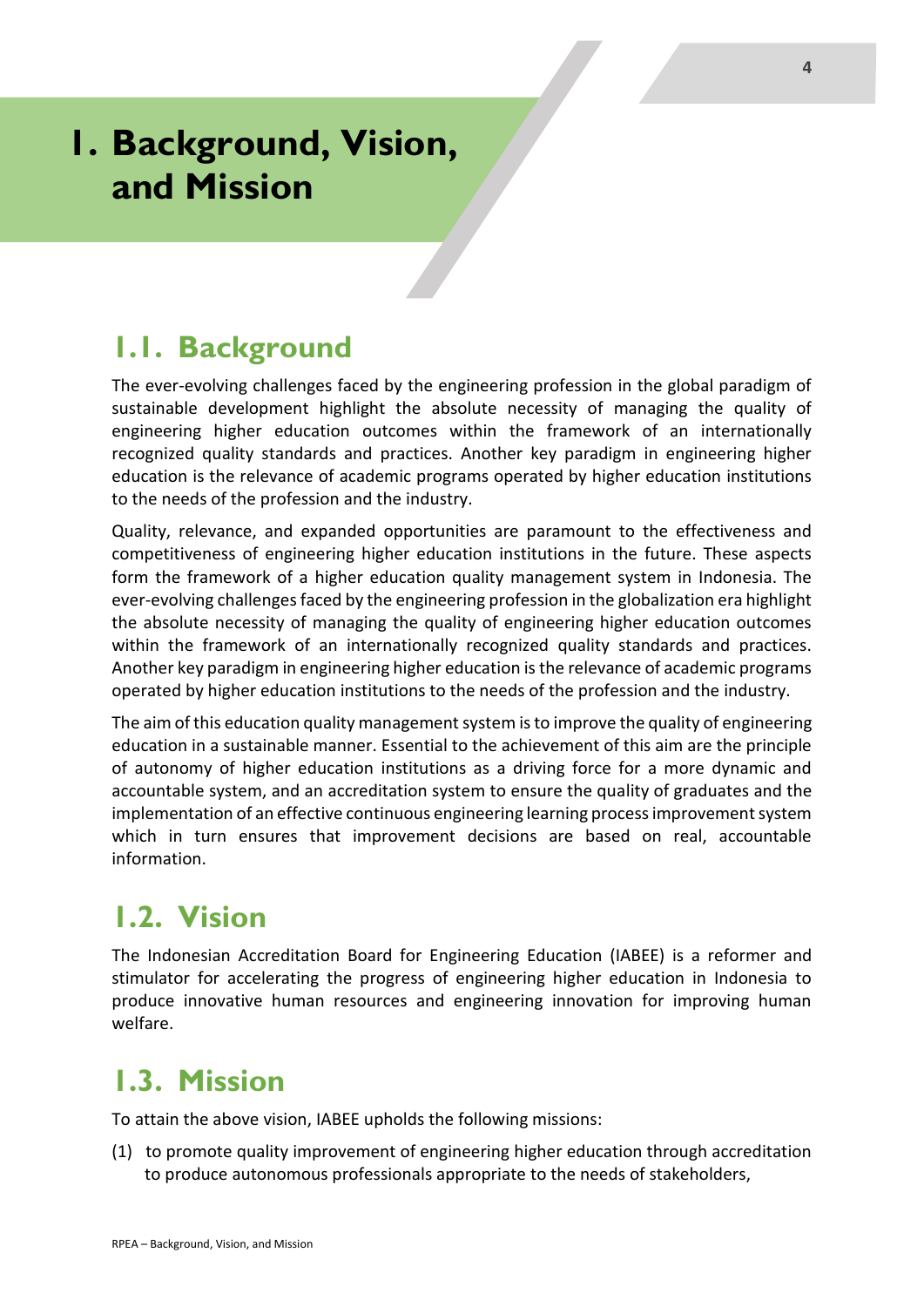## **1. Background, Vision, and Mission**

### **1.1. Background**

The ever-evolving challenges faced by the engineering profession in the global paradigm of sustainable development highlight the absolute necessity of managing the quality of engineering higher education outcomes within the framework of an internationally recognized quality standards and practices. Another key paradigm in engineering higher education is the relevance of academic programs operated by higher education institutions to the needs of the profession and the industry.

Quality, relevance, and expanded opportunities are paramount to the effectiveness and competitiveness of engineering higher education institutions in the future. These aspects form the framework of a higher education quality management system in Indonesia. The ever-evolving challenges faced by the engineering profession in the globalization era highlight the absolute necessity of managing the quality of engineering higher education outcomes within the framework of an internationally recognized quality standards and practices. Another key paradigm in engineering higher education is the relevance of academic programs operated by higher education institutions to the needs of the profession and the industry.

The aim of this education quality management system is to improve the quality of engineering education in a sustainable manner. Essential to the achievement of this aim are the principle of autonomy of higher education institutions as a driving force for a more dynamic and accountable system, and an accreditation system to ensure the quality of graduates and the implementation of an effective continuous engineering learning process improvement system which in turn ensures that improvement decisions are based on real, accountable information.

## **1.2. Vision**

The Indonesian Accreditation Board for Engineering Education (IABEE) is a reformer and stimulator for accelerating the progress of engineering higher education in Indonesia to produce innovative human resources and engineering innovation for improving human welfare.

## **1.3. Mission**

To attain the above vision, IABEE upholds the following missions:

(1) to promote quality improvement of engineering higher education through accreditation to produce autonomous professionals appropriate to the needs of stakeholders,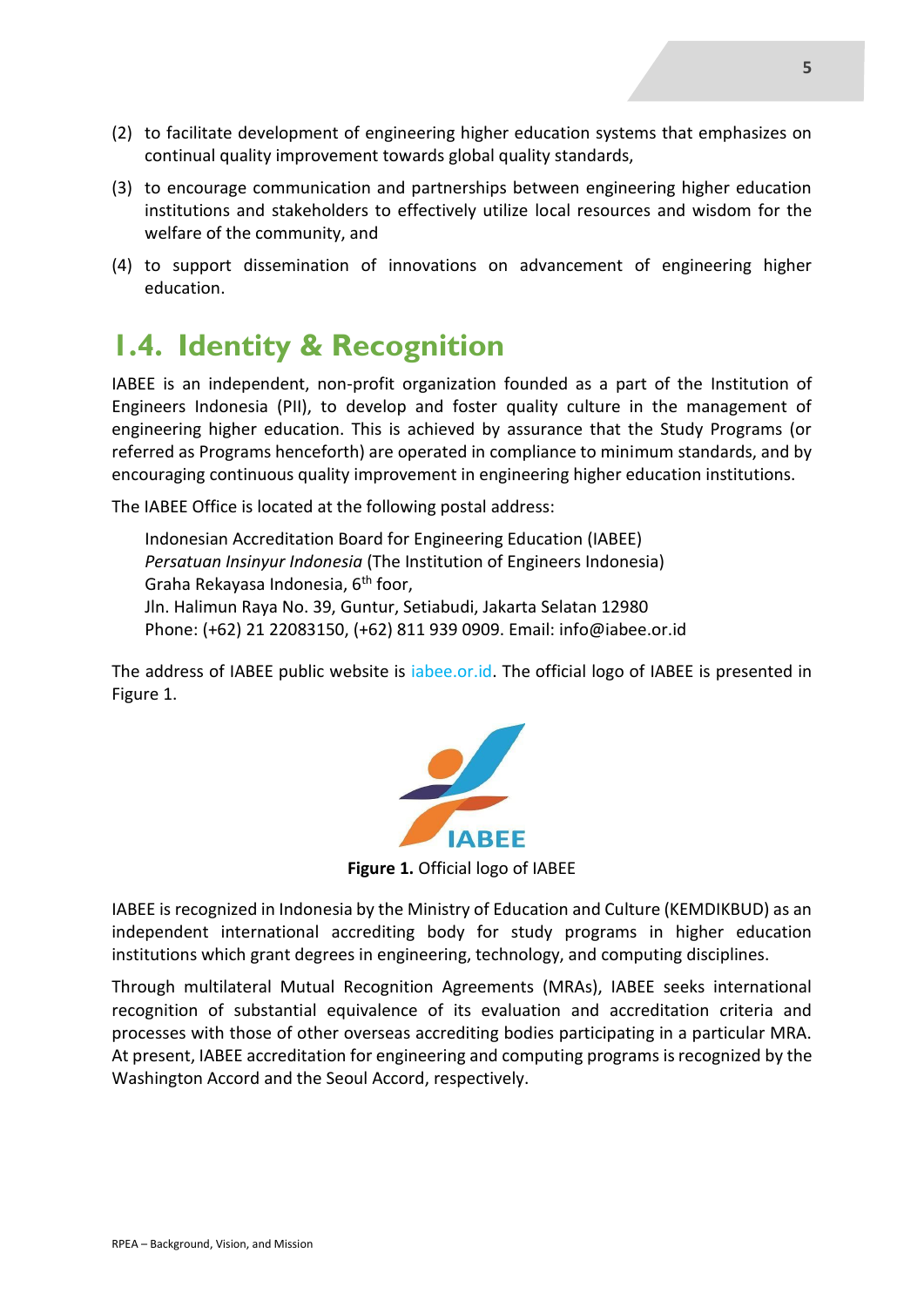- (2) to facilitate development of engineering higher education systems that emphasizes on continual quality improvement towards global quality standards,
- (3) to encourage communication and partnerships between engineering higher education institutions and stakeholders to effectively utilize local resources and wisdom for the welfare of the community, and
- (4) to support dissemination of innovations on advancement of engineering higher education.

### **1.4. Identity & Recognition**

IABEE is an independent, non-profit organization founded as a part of the Institution of Engineers Indonesia (PII), to develop and foster quality culture in the management of engineering higher education. This is achieved by assurance that the Study Programs (or referred as Programs henceforth) are operated in compliance to minimum standards, and by encouraging continuous quality improvement in engineering higher education institutions.

The IABEE Office is located at the following postal address:

Indonesian Accreditation Board for Engineering Education (IABEE) *Persatuan Insinyur Indonesia* (The Institution of Engineers Indonesia) Graha Rekayasa Indonesia, 6<sup>th</sup> foor, Jln. Halimun Raya No. 39, Guntur, Setiabudi, Jakarta Selatan 12980 Phone: (+62) 21 22083150, (+62) 811 939 0909. Email: info@iabee.or.id

The address of IABEE public website is iabee.or.id. The official logo of IABEE is presented in Figure 1.



**Figure 1.** Official logo of IABEE

IABEE is recognized in Indonesia by the Ministry of Education and Culture (KEMDIKBUD) as an independent international accrediting body for study programs in higher education institutions which grant degrees in engineering, technology, and computing disciplines.

Through multilateral Mutual Recognition Agreements (MRAs), IABEE seeks international recognition of substantial equivalence of its evaluation and accreditation criteria and processes with those of other overseas accrediting bodies participating in a particular MRA. At present, IABEE accreditation for engineering and computing programs is recognized by the Washington Accord and the Seoul Accord, respectively.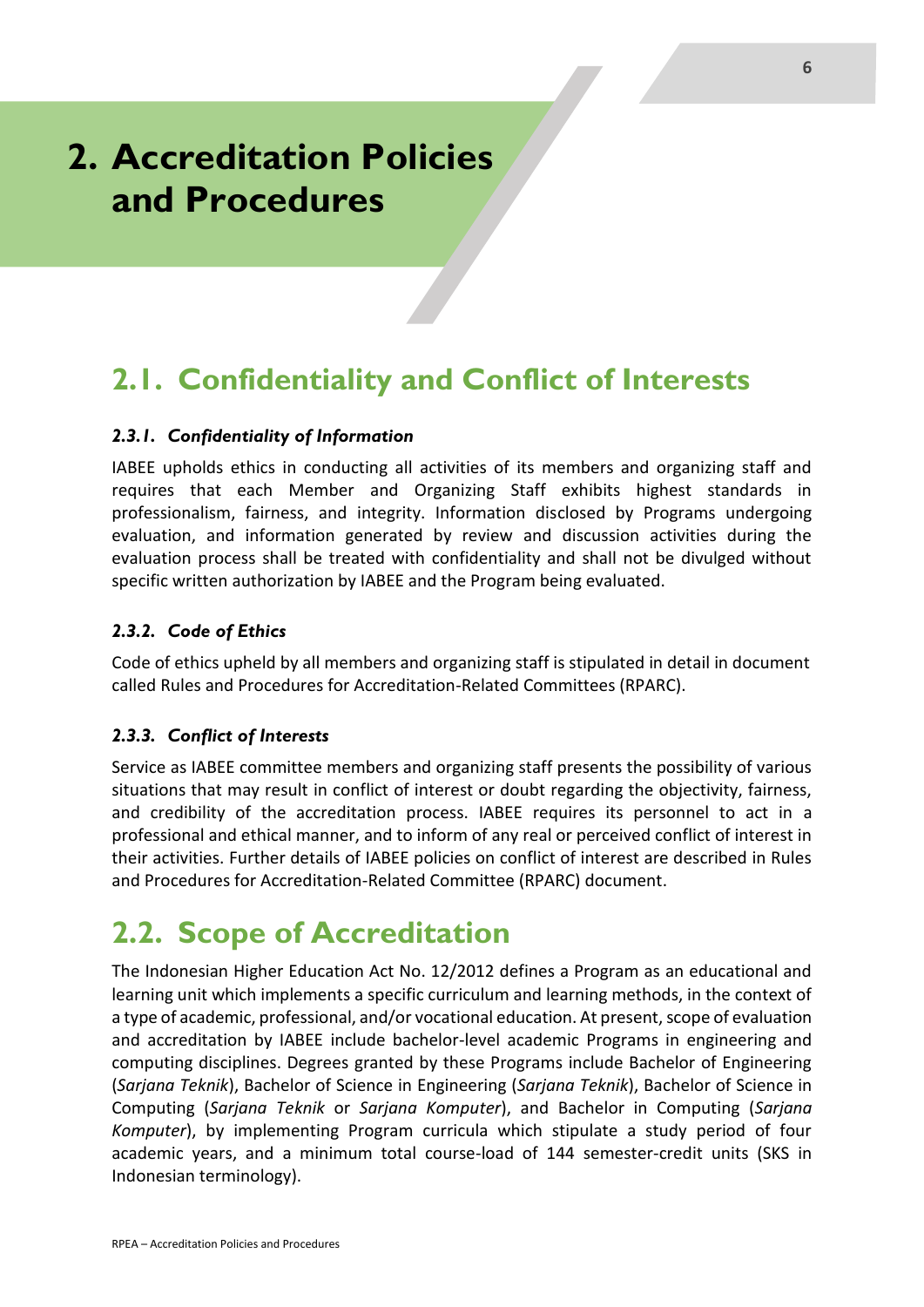## **2. Accreditation Policies and Procedures**

## **2.1. Confidentiality and Conflict of Interests**

#### *2.3.1. Confidentiality of Information*

IABEE upholds ethics in conducting all activities of its members and organizing staff and requires that each Member and Organizing Staff exhibits highest standards in professionalism, fairness, and integrity. Information disclosed by Programs undergoing evaluation, and information generated by review and discussion activities during the evaluation process shall be treated with confidentiality and shall not be divulged without specific written authorization by IABEE and the Program being evaluated.

#### *2.3.2. Code of Ethics*

Code of ethics upheld by all members and organizing staff is stipulated in detail in document called Rules and Procedures for Accreditation-Related Committees (RPARC).

#### *2.3.3. Conflict of Interests*

Service as IABEE committee members and organizing staff presents the possibility of various situations that may result in conflict of interest or doubt regarding the objectivity, fairness, and credibility of the accreditation process. IABEE requires its personnel to act in a professional and ethical manner, and to inform of any real or perceived conflict of interest in their activities. Further details of IABEE policies on conflict of interest are described in Rules and Procedures for Accreditation-Related Committee (RPARC) document.

### **2.2. Scope of Accreditation**

The Indonesian Higher Education Act No. 12/2012 defines a Program as an educational and learning unit which implements a specific curriculum and learning methods, in the context of a type of academic, professional, and/or vocational education. At present, scope of evaluation and accreditation by IABEE include bachelor-level academic Programs in engineering and computing disciplines. Degrees granted by these Programs include Bachelor of Engineering (*Sarjana Teknik*), Bachelor of Science in Engineering (*Sarjana Teknik*), Bachelor of Science in Computing (*Sarjana Teknik* or *Sarjana Komputer*), and Bachelor in Computing (*Sarjana Komputer*), by implementing Program curricula which stipulate a study period of four academic years, and a minimum total course-load of 144 semester-credit units (SKS in Indonesian terminology).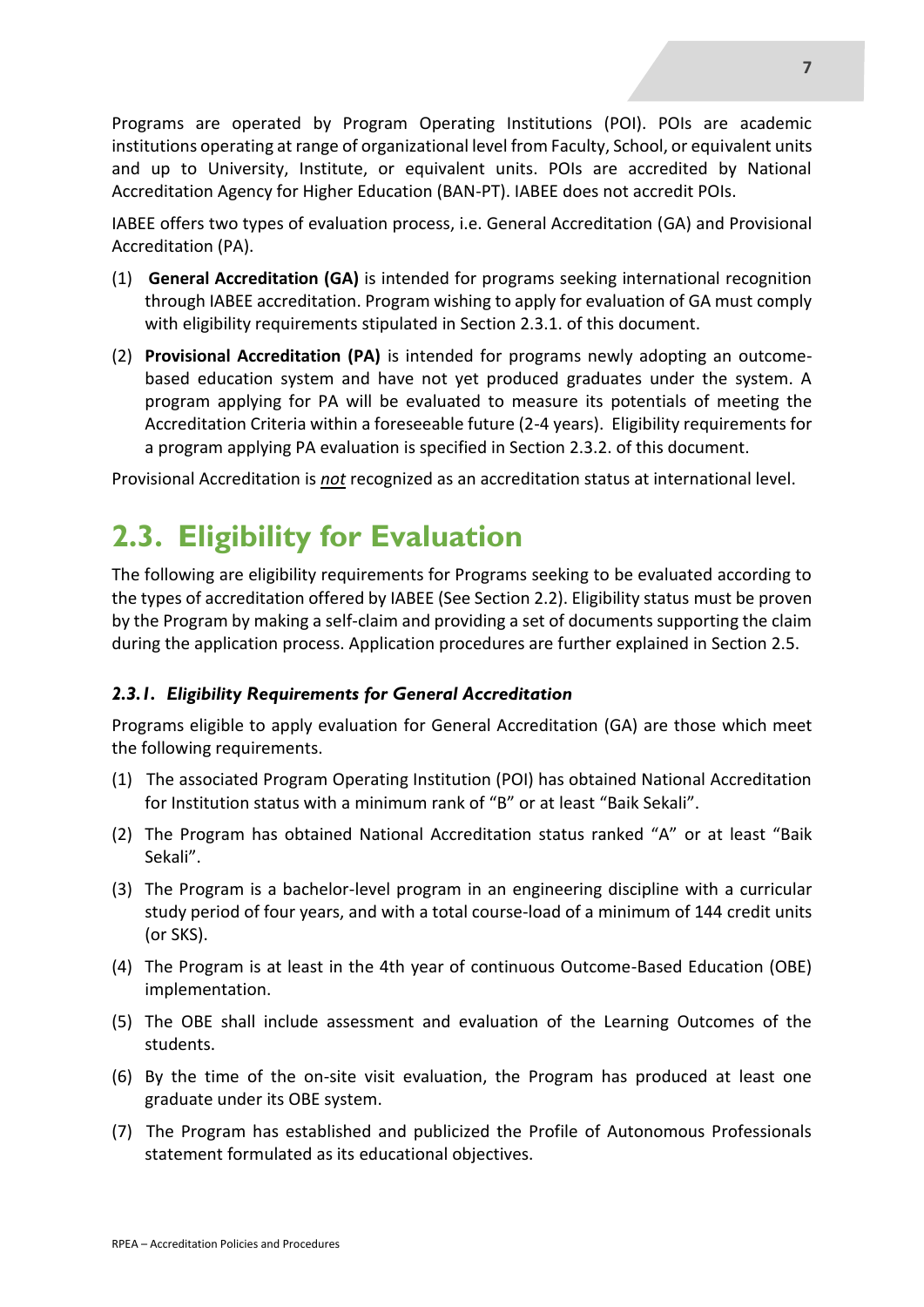Programs are operated by Program Operating Institutions (POI). POIs are academic institutions operating at range of organizational level from Faculty, School, or equivalent units and up to University, Institute, or equivalent units. POIs are accredited by National Accreditation Agency for Higher Education (BAN-PT). IABEE does not accredit POIs.

IABEE offers two types of evaluation process, i.e. General Accreditation (GA) and Provisional Accreditation (PA).

- (1) **General Accreditation (GA)** is intended for programs seeking international recognition through IABEE accreditation. Program wishing to apply for evaluation of GA must comply with eligibility requirements stipulated in Section 2.3.1. of this document.
- (2) **Provisional Accreditation (PA)** is intended for programs newly adopting an outcomebased education system and have not yet produced graduates under the system. A program applying for PA will be evaluated to measure its potentials of meeting the Accreditation Criteria within a foreseeable future (2-4 years). Eligibility requirements for a program applying PA evaluation is specified in Section 2.3.2. of this document.

Provisional Accreditation is *not* recognized as an accreditation status at international level.

## **2.3. Eligibility for Evaluation**

The following are eligibility requirements for Programs seeking to be evaluated according to the types of accreditation offered by IABEE (See Section 2.2). Eligibility status must be proven by the Program by making a self-claim and providing a set of documents supporting the claim during the application process. Application procedures are further explained in Section 2.5.

#### *2.3.1. Eligibility Requirements for General Accreditation*

Programs eligible to apply evaluation for General Accreditation (GA) are those which meet the following requirements.

- (1) The associated Program Operating Institution (POI) has obtained National Accreditation for Institution status with a minimum rank of "B" or at least "Baik Sekali".
- (2) The Program has obtained National Accreditation status ranked "A" or at least "Baik Sekali".
- (3) The Program is a bachelor-level program in an engineering discipline with a curricular study period of four years, and with a total course-load of a minimum of 144 credit units (or SKS).
- (4) The Program is at least in the 4th year of continuous Outcome-Based Education (OBE) implementation.
- (5) The OBE shall include assessment and evaluation of the Learning Outcomes of the students.
- (6) By the time of the on-site visit evaluation, the Program has produced at least one graduate under its OBE system.
- (7) The Program has established and publicized the Profile of Autonomous Professionals statement formulated as its educational objectives.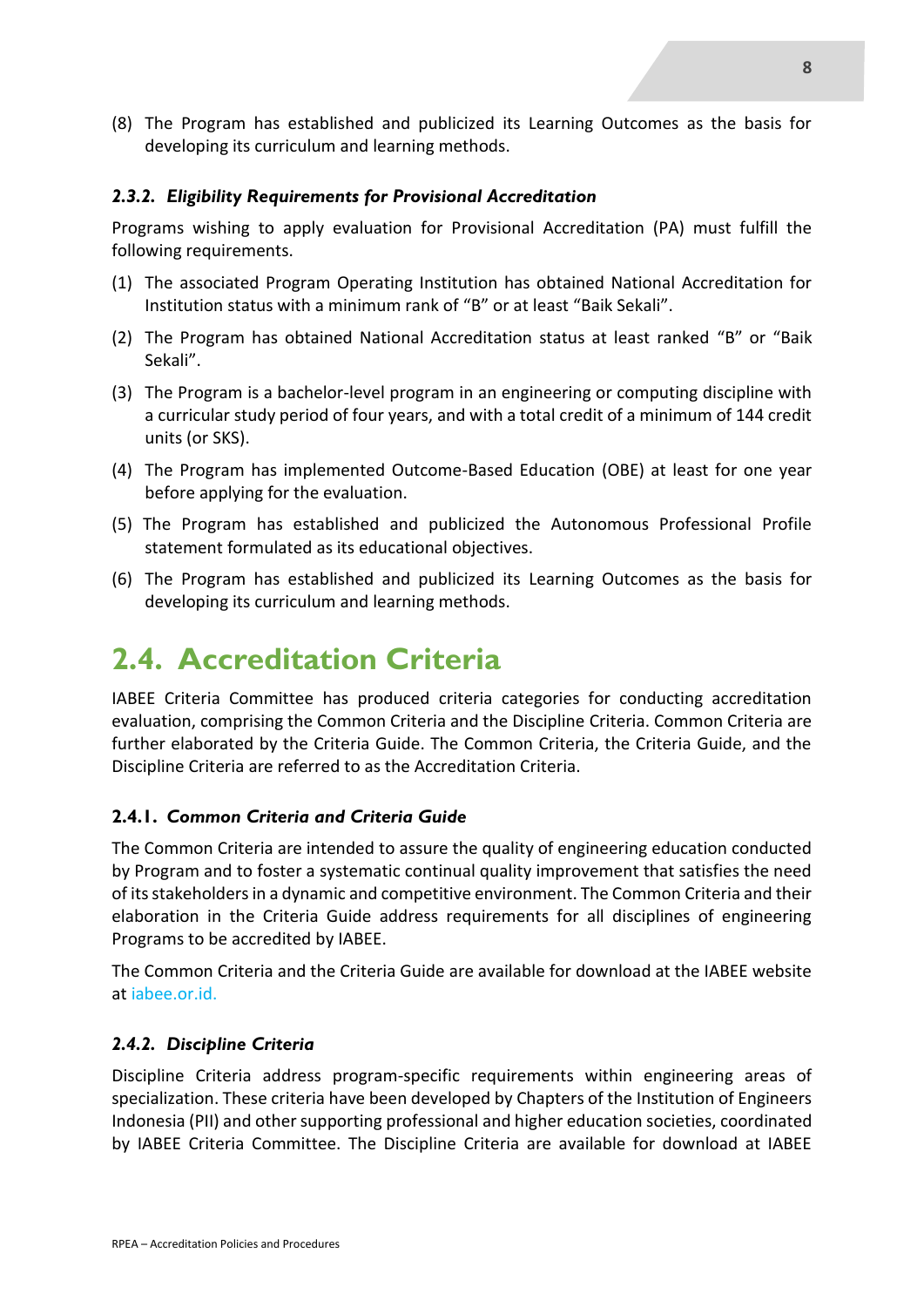(8) The Program has established and publicized its Learning Outcomes as the basis for developing its curriculum and learning methods.

#### *2.3.2. Eligibility Requirements for Provisional Accreditation*

Programs wishing to apply evaluation for Provisional Accreditation (PA) must fulfill the following requirements.

- (1) The associated Program Operating Institution has obtained National Accreditation for Institution status with a minimum rank of "B" or at least "Baik Sekali".
- (2) The Program has obtained National Accreditation status at least ranked "B" or "Baik Sekali".
- (3) The Program is a bachelor-level program in an engineering or computing discipline with a curricular study period of four years, and with a total credit of a minimum of 144 credit units (or SKS).
- (4) The Program has implemented Outcome-Based Education (OBE) at least for one year before applying for the evaluation.
- (5) The Program has established and publicized the Autonomous Professional Profile statement formulated as its educational objectives.
- (6) The Program has established and publicized its Learning Outcomes as the basis for developing its curriculum and learning methods.

### **2.4. Accreditation Criteria**

IABEE Criteria Committee has produced criteria categories for conducting accreditation evaluation, comprising the Common Criteria and the Discipline Criteria. Common Criteria are further elaborated by the Criteria Guide. The Common Criteria, the Criteria Guide, and the Discipline Criteria are referred to as the Accreditation Criteria.

#### **2.4.1.** *Common Criteria and Criteria Guide*

The Common Criteria are intended to assure the quality of engineering education conducted by Program and to foster a systematic continual quality improvement that satisfies the need of its stakeholders in a dynamic and competitive environment. The Common Criteria and their elaboration in the Criteria Guide address requirements for all disciplines of engineering Programs to be accredited by IABEE.

The Common Criteria and the Criteria Guide are available for download at the IABEE website at iabee.or.id.

#### *2.4.2. Discipline Criteria*

Discipline Criteria address program-specific requirements within engineering areas of specialization. These criteria have been developed by Chapters of the Institution of Engineers Indonesia (PII) and other supporting professional and higher education societies, coordinated by IABEE Criteria Committee. The Discipline Criteria are available for download at IABEE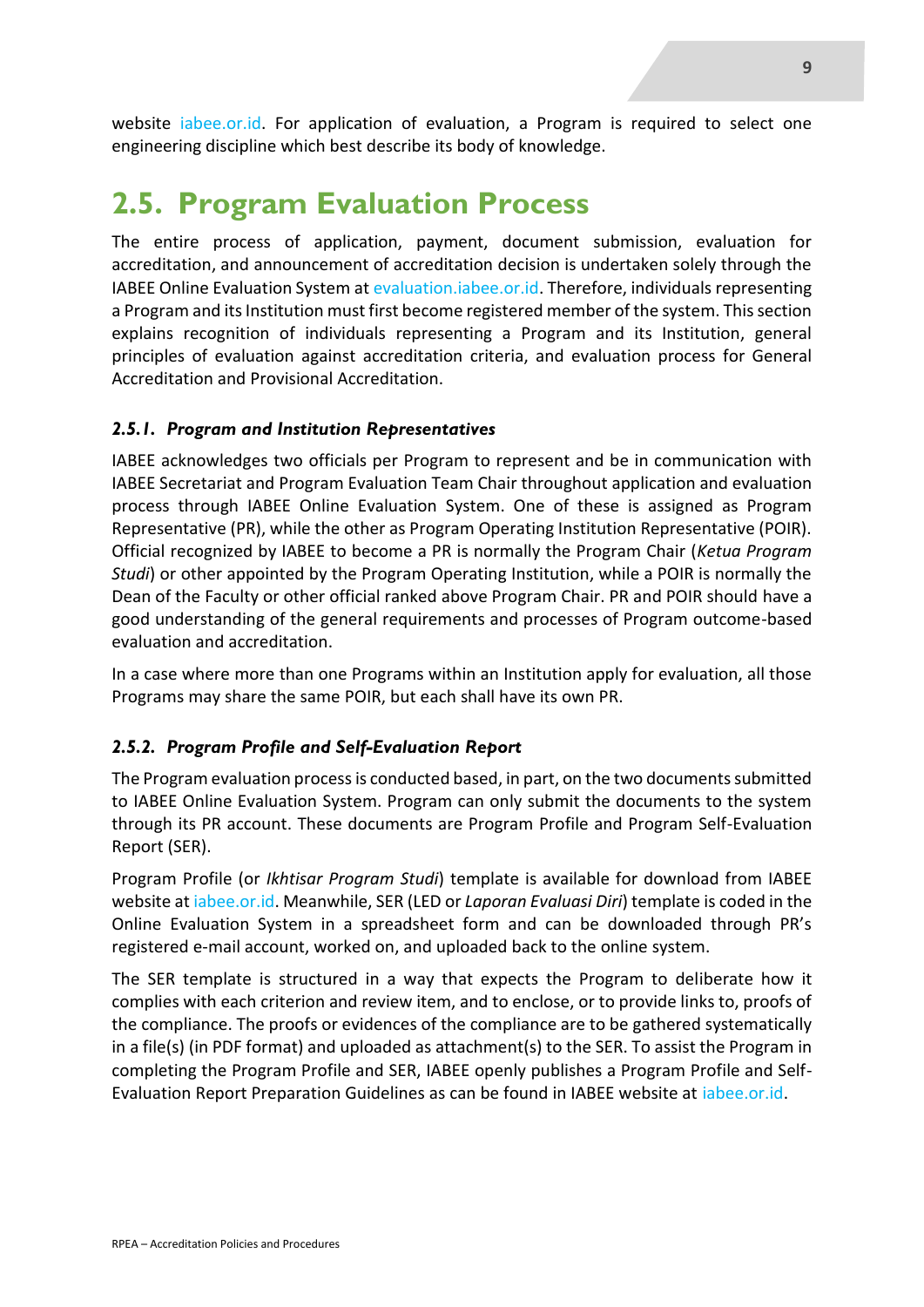website iabee.or.id. For application of evaluation, a Program is required to select one engineering discipline which best describe its body of knowledge.

### **2.5. Program Evaluation Process**

The entire process of application, payment, document submission, evaluation for accreditation, and announcement of accreditation decision is undertaken solely through the IABEE Online Evaluation System at evaluation.iabee.or.id. Therefore, individuals representing a Program and its Institution must first become registered member of the system. This section explains recognition of individuals representing a Program and its Institution, general principles of evaluation against accreditation criteria, and evaluation process for General Accreditation and Provisional Accreditation.

#### *2.5.1. Program and Institution Representatives*

IABEE acknowledges two officials per Program to represent and be in communication with IABEE Secretariat and Program Evaluation Team Chair throughout application and evaluation process through IABEE Online Evaluation System. One of these is assigned as Program Representative (PR), while the other as Program Operating Institution Representative (POIR). Official recognized by IABEE to become a PR is normally the Program Chair (*Ketua Program Studi*) or other appointed by the Program Operating Institution, while a POIR is normally the Dean of the Faculty or other official ranked above Program Chair. PR and POIR should have a good understanding of the general requirements and processes of Program outcome-based evaluation and accreditation.

In a case where more than one Programs within an Institution apply for evaluation, all those Programs may share the same POIR, but each shall have its own PR.

#### *2.5.2. Program Profile and Self-Evaluation Report*

The Program evaluation process is conducted based, in part, on the two documents submitted to IABEE Online Evaluation System. Program can only submit the documents to the system through its PR account. These documents are Program Profile and Program Self-Evaluation Report (SER).

Program Profile (or *Ikhtisar Program Studi*) template is available for download from IABEE website at iabee.or.id. Meanwhile, SER (LED or *Laporan Evaluasi Diri*) template is coded in the Online Evaluation System in a spreadsheet form and can be downloaded through PR's registered e-mail account, worked on, and uploaded back to the online system.

The SER template is structured in a way that expects the Program to deliberate how it complies with each criterion and review item, and to enclose, or to provide links to, proofs of the compliance. The proofs or evidences of the compliance are to be gathered systematically in a file(s) (in PDF format) and uploaded as attachment(s) to the SER. To assist the Program in completing the Program Profile and SER, IABEE openly publishes a Program Profile and Self-Evaluation Report Preparation Guidelines as can be found in IABEE website at iabee.or.id.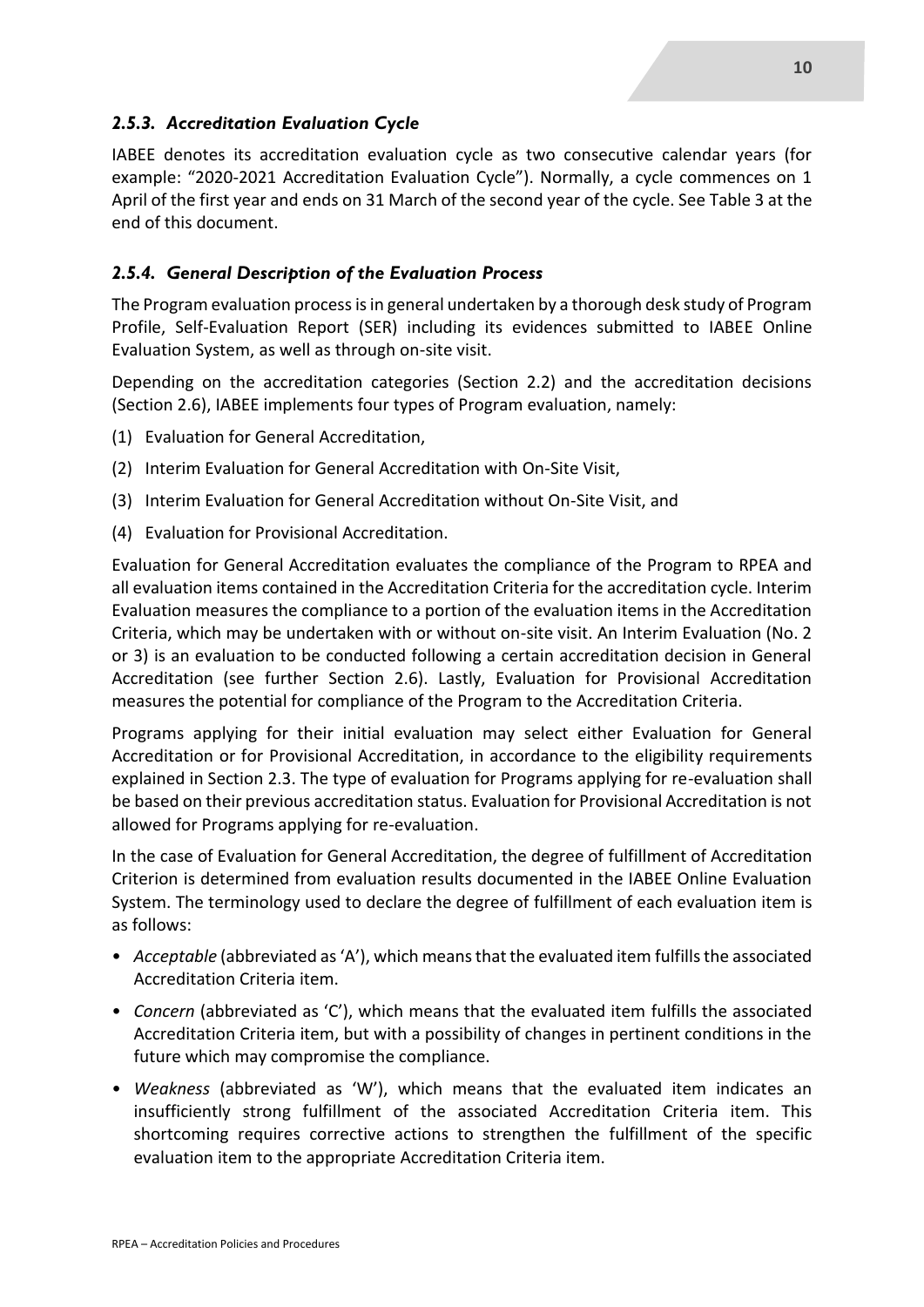#### *2.5.3. Accreditation Evaluation Cycle*

IABEE denotes its accreditation evaluation cycle as two consecutive calendar years (for example: "2020-2021 Accreditation Evaluation Cycle"). Normally, a cycle commences on 1 April of the first year and ends on 31 March of the second year of the cycle. See Table 3 at the end of this document.

#### *2.5.4. General Description of the Evaluation Process*

The Program evaluation process is in general undertaken by a thorough desk study of Program Profile, Self-Evaluation Report (SER) including its evidences submitted to IABEE Online Evaluation System, as well as through on-site visit.

Depending on the accreditation categories (Section 2.2) and the accreditation decisions (Section 2.6), IABEE implements four types of Program evaluation, namely:

- (1) Evaluation for General Accreditation,
- (2) Interim Evaluation for General Accreditation with On-Site Visit,
- (3) Interim Evaluation for General Accreditation without On-Site Visit, and
- (4) Evaluation for Provisional Accreditation.

Evaluation for General Accreditation evaluates the compliance of the Program to RPEA and all evaluation items contained in the Accreditation Criteria for the accreditation cycle. Interim Evaluation measures the compliance to a portion of the evaluation items in the Accreditation Criteria, which may be undertaken with or without on-site visit. An Interim Evaluation (No. 2 or 3) is an evaluation to be conducted following a certain accreditation decision in General Accreditation (see further Section 2.6). Lastly, Evaluation for Provisional Accreditation measures the potential for compliance of the Program to the Accreditation Criteria.

Programs applying for their initial evaluation may select either Evaluation for General Accreditation or for Provisional Accreditation, in accordance to the eligibility requirements explained in Section 2.3. The type of evaluation for Programs applying for re-evaluation shall be based on their previous accreditation status. Evaluation for Provisional Accreditation is not allowed for Programs applying for re-evaluation.

In the case of Evaluation for General Accreditation, the degree of fulfillment of Accreditation Criterion is determined from evaluation results documented in the IABEE Online Evaluation System. The terminology used to declare the degree of fulfillment of each evaluation item is as follows:

- *Acceptable* (abbreviated as 'A'), which means that the evaluated item fulfills the associated Accreditation Criteria item.
- *Concern* (abbreviated as 'C'), which means that the evaluated item fulfills the associated Accreditation Criteria item, but with a possibility of changes in pertinent conditions in the future which may compromise the compliance.
- *Weakness* (abbreviated as 'W'), which means that the evaluated item indicates an insufficiently strong fulfillment of the associated Accreditation Criteria item. This shortcoming requires corrective actions to strengthen the fulfillment of the specific evaluation item to the appropriate Accreditation Criteria item.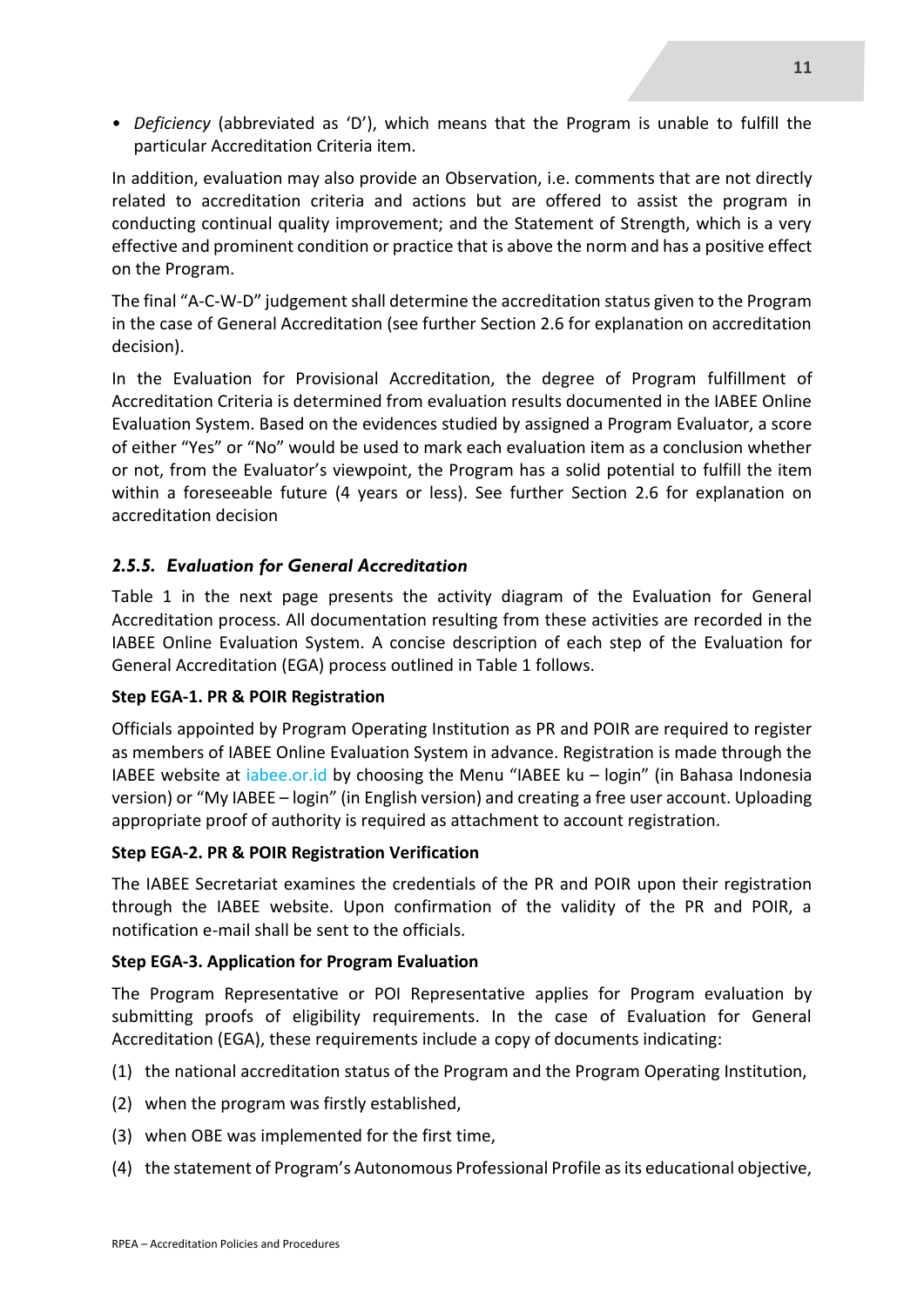• *Deficiency* (abbreviated as 'D'), which means that the Program is unable to fulfill the particular Accreditation Criteria item.

In addition, evaluation may also provide an Observation, i.e. comments that are not directly related to accreditation criteria and actions but are offered to assist the program in conducting continual quality improvement; and the Statement of Strength, which is a very effective and prominent condition or practice that is above the norm and has a positive effect on the Program.

The final "A-C-W-D" judgement shall determine the accreditation status given to the Program in the case of General Accreditation (see further Section 2.6 for explanation on accreditation decision).

In the Evaluation for Provisional Accreditation, the degree of Program fulfillment of Accreditation Criteria is determined from evaluation results documented in the IABEE Online Evaluation System. Based on the evidences studied by assigned a Program Evaluator, a score of either "Yes" or "No" would be used to mark each evaluation item as a conclusion whether or not, from the Evaluator's viewpoint, the Program has a solid potential to fulfill the item within a foreseeable future (4 years or less). See further Section 2.6 for explanation on accreditation decision

#### *2.5.5. Evaluation for General Accreditation*

Table 1 in the next page presents the activity diagram of the Evaluation for General Accreditation process. All documentation resulting from these activities are recorded in the IABEE Online Evaluation System. A concise description of each step of the Evaluation for General Accreditation (EGA) process outlined in Table 1 follows.

#### **Step EGA-1. PR & POIR Registration**

Officials appointed by Program Operating Institution as PR and POIR are required to register as members of IABEE Online Evaluation System in advance. Registration is made through the IABEE website at iabee.or.id by choosing the Menu "IABEE ku – login" (in Bahasa Indonesia version) or "My IABEE – login" (in English version) and creating a free user account. Uploading appropriate proof of authority is required as attachment to account registration.

#### **Step EGA-2. PR & POIR Registration Verification**

The IABEE Secretariat examines the credentials of the PR and POIR upon their registration through the IABEE website. Upon confirmation of the validity of the PR and POIR, a notification e-mail shall be sent to the officials.

#### **Step EGA-3. Application for Program Evaluation**

The Program Representative or POI Representative applies for Program evaluation by submitting proofs of eligibility requirements. In the case of Evaluation for General Accreditation (EGA), these requirements include a copy of documents indicating:

- (1) the national accreditation status of the Program and the Program Operating Institution,
- (2) when the program was firstly established,
- (3) when OBE was implemented for the first time,
- (4) the statement of Program's Autonomous Professional Profile as its educational objective,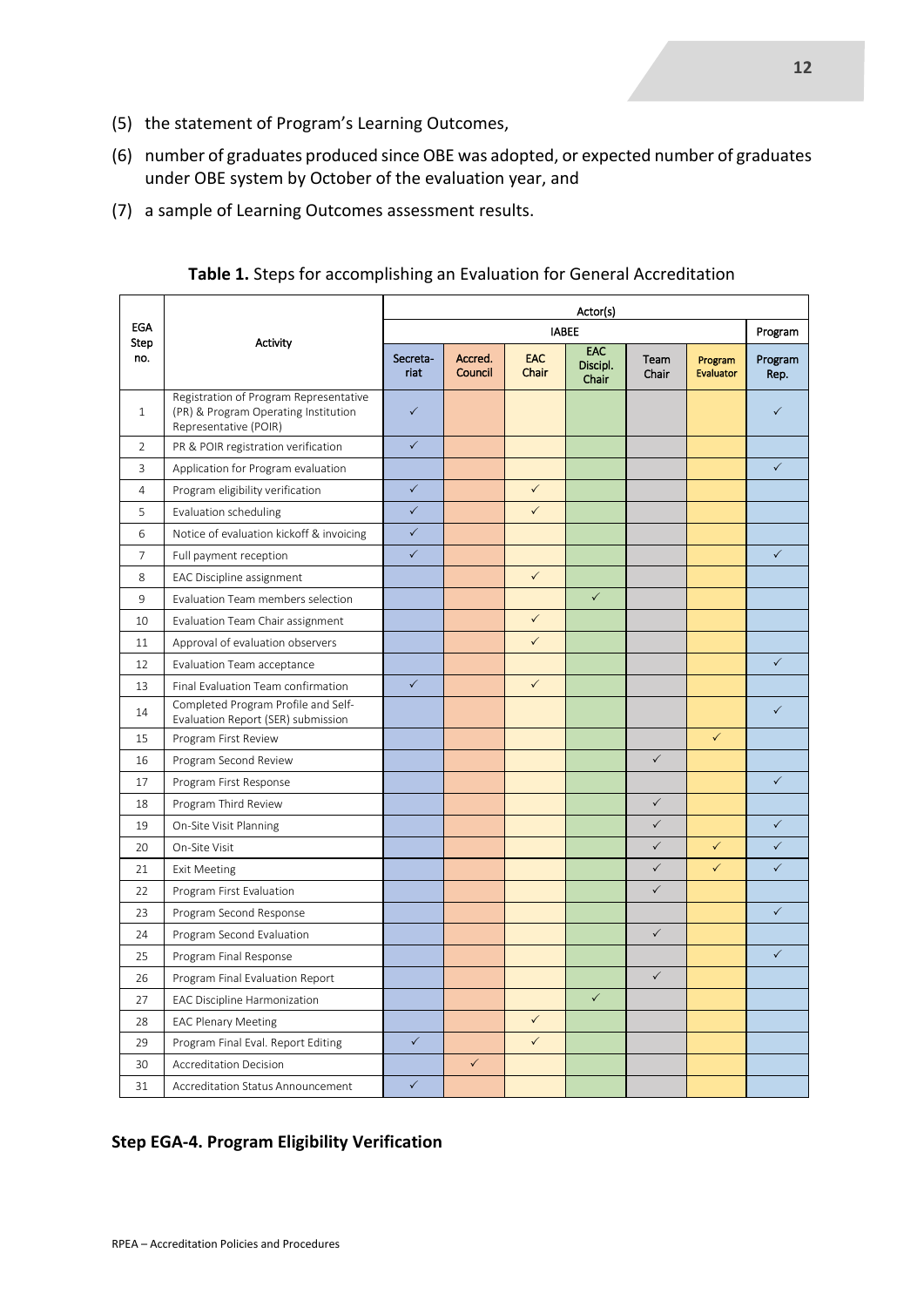- (5) the statement of Program's Learning Outcomes,
- (6) number of graduates produced since OBE was adopted, or expected number of graduates under OBE system by October of the evaluation year, and
- (7) a sample of Learning Outcomes assessment results.

|                    |                                                                                                         | Actor(s)         |                    |                     |                          |               |                             |                 |
|--------------------|---------------------------------------------------------------------------------------------------------|------------------|--------------------|---------------------|--------------------------|---------------|-----------------------------|-----------------|
| <b>EGA</b><br>Step | Activity                                                                                                | <b>IABEE</b>     |                    |                     |                          |               | Program                     |                 |
| no.                |                                                                                                         | Secreta-<br>riat | Accred.<br>Council | <b>EAC</b><br>Chair | EAC<br>Discipl.<br>Chair | Team<br>Chair | Program<br><b>Evaluator</b> | Program<br>Rep. |
| $\mathbf{1}$       | Registration of Program Representative<br>(PR) & Program Operating Institution<br>Representative (POIR) | $\checkmark$     |                    |                     |                          |               |                             | $\checkmark$    |
| $\overline{2}$     | PR & POIR registration verification                                                                     | $\checkmark$     |                    |                     |                          |               |                             |                 |
| 3                  | Application for Program evaluation                                                                      |                  |                    |                     |                          |               |                             | $\checkmark$    |
| $\overline{4}$     | Program eligibility verification                                                                        | $\checkmark$     |                    | $\checkmark$        |                          |               |                             |                 |
| 5                  | Evaluation scheduling                                                                                   | $\checkmark$     |                    | $\checkmark$        |                          |               |                             |                 |
| 6                  | Notice of evaluation kickoff & invoicing                                                                | $\checkmark$     |                    |                     |                          |               |                             |                 |
| $\overline{7}$     | Full payment reception                                                                                  | $\checkmark$     |                    |                     |                          |               |                             | $\checkmark$    |
| 8                  | EAC Discipline assignment                                                                               |                  |                    | $\checkmark$        |                          |               |                             |                 |
| 9                  | Evaluation Team members selection                                                                       |                  |                    |                     | $\checkmark$             |               |                             |                 |
| 10                 | Evaluation Team Chair assignment                                                                        |                  |                    | $\checkmark$        |                          |               |                             |                 |
| 11                 | Approval of evaluation observers                                                                        |                  |                    | $\checkmark$        |                          |               |                             |                 |
| 12                 | Evaluation Team acceptance                                                                              |                  |                    |                     |                          |               |                             | $\checkmark$    |
| 13                 | Final Evaluation Team confirmation                                                                      | $\checkmark$     |                    | $\checkmark$        |                          |               |                             |                 |
| 14                 | Completed Program Profile and Self-<br>Evaluation Report (SER) submission                               |                  |                    |                     |                          |               |                             | $\checkmark$    |
| 15                 | Program First Review                                                                                    |                  |                    |                     |                          |               | $\checkmark$                |                 |
| 16                 | Program Second Review                                                                                   |                  |                    |                     |                          | $\checkmark$  |                             |                 |
| 17                 | Program First Response                                                                                  |                  |                    |                     |                          |               |                             | $\checkmark$    |
| 18                 | Program Third Review                                                                                    |                  |                    |                     |                          | $\checkmark$  |                             |                 |
| 19                 | On-Site Visit Planning                                                                                  |                  |                    |                     |                          | $\checkmark$  |                             | $\checkmark$    |
| 20                 | On-Site Visit                                                                                           |                  |                    |                     |                          | $\checkmark$  | $\checkmark$                | $\checkmark$    |
| 21                 | <b>Exit Meeting</b>                                                                                     |                  |                    |                     |                          | $\checkmark$  | $\checkmark$                | $\checkmark$    |
| 22                 | Program First Evaluation                                                                                |                  |                    |                     |                          | $\checkmark$  |                             |                 |
| 23                 | Program Second Response                                                                                 |                  |                    |                     |                          |               |                             | $\checkmark$    |
| 24                 | Program Second Evaluation                                                                               |                  |                    |                     |                          | $\checkmark$  |                             |                 |
| 25                 | Program Final Response                                                                                  |                  |                    |                     |                          |               |                             | ✓               |
| 26                 | Program Final Evaluation Report                                                                         |                  |                    |                     |                          | $\checkmark$  |                             |                 |
| 27                 | <b>EAC Discipline Harmonization</b>                                                                     |                  |                    |                     | $\checkmark$             |               |                             |                 |
| 28                 | <b>EAC Plenary Meeting</b>                                                                              |                  |                    | $\checkmark$        |                          |               |                             |                 |
| 29                 | Program Final Eval. Report Editing                                                                      | $\checkmark$     |                    | $\checkmark$        |                          |               |                             |                 |
| 30                 | Accreditation Decision                                                                                  |                  | $\checkmark$       |                     |                          |               |                             |                 |
| 31                 | Accreditation Status Announcement                                                                       | $\checkmark$     |                    |                     |                          |               |                             |                 |

**Table 1.** Steps for accomplishing an Evaluation for General Accreditation

#### **Step EGA-4. Program Eligibility Verification**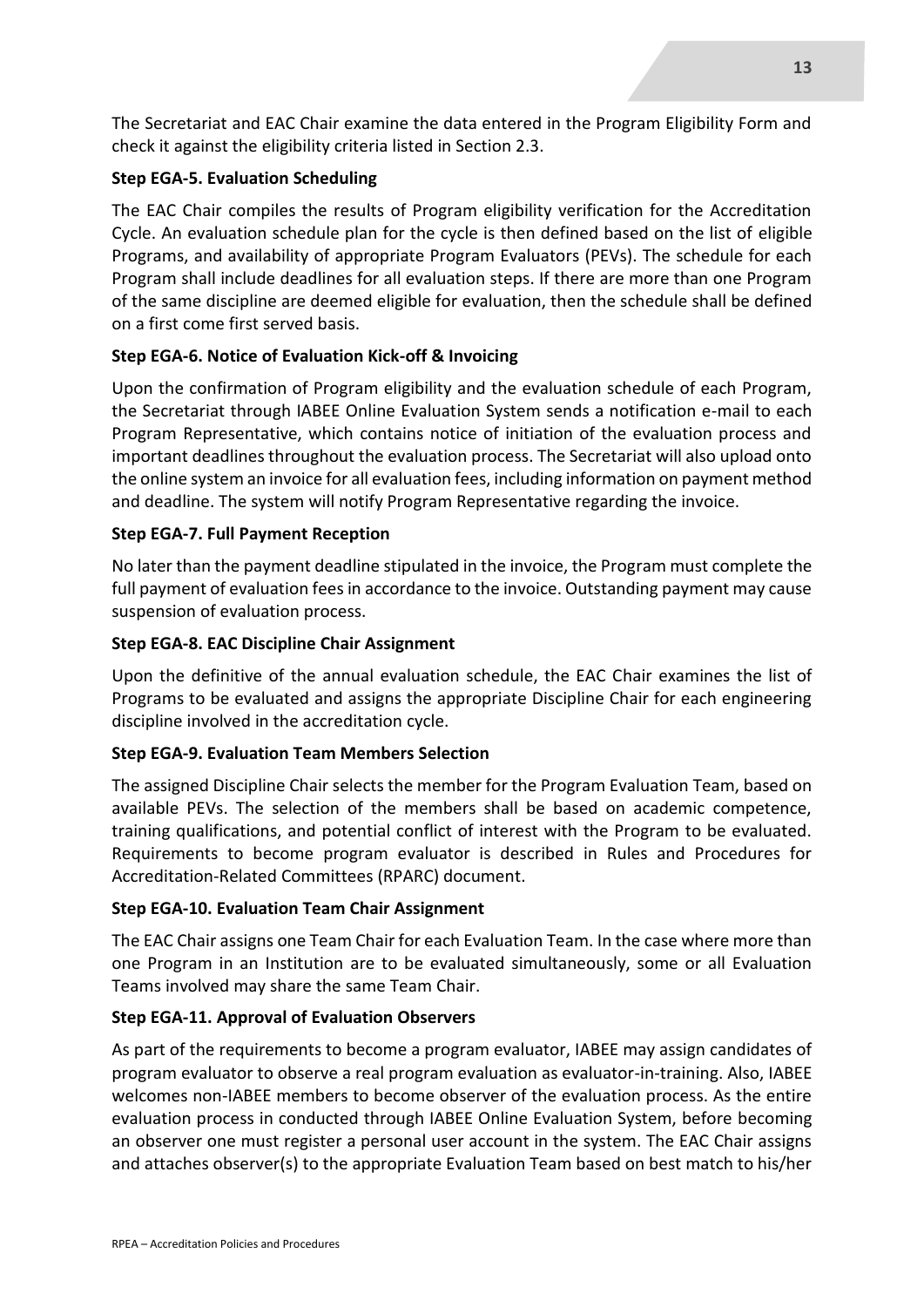The Secretariat and EAC Chair examine the data entered in the Program Eligibility Form and check it against the eligibility criteria listed in Section 2.3.

#### **Step EGA-5. Evaluation Scheduling**

The EAC Chair compiles the results of Program eligibility verification for the Accreditation Cycle. An evaluation schedule plan for the cycle is then defined based on the list of eligible Programs, and availability of appropriate Program Evaluators (PEVs). The schedule for each Program shall include deadlines for all evaluation steps. If there are more than one Program of the same discipline are deemed eligible for evaluation, then the schedule shall be defined on a first come first served basis.

#### **Step EGA-6. Notice of Evaluation Kick-off & Invoicing**

Upon the confirmation of Program eligibility and the evaluation schedule of each Program, the Secretariat through IABEE Online Evaluation System sends a notification e-mail to each Program Representative, which contains notice of initiation of the evaluation process and important deadlines throughout the evaluation process. The Secretariat will also upload onto the online system an invoice for all evaluation fees, including information on payment method and deadline. The system will notify Program Representative regarding the invoice.

#### **Step EGA-7. Full Payment Reception**

No later than the payment deadline stipulated in the invoice, the Program must complete the full payment of evaluation fees in accordance to the invoice. Outstanding payment may cause suspension of evaluation process.

#### **Step EGA-8. EAC Discipline Chair Assignment**

Upon the definitive of the annual evaluation schedule, the EAC Chair examines the list of Programs to be evaluated and assigns the appropriate Discipline Chair for each engineering discipline involved in the accreditation cycle.

#### **Step EGA-9. Evaluation Team Members Selection**

The assigned Discipline Chair selects the member for the Program Evaluation Team, based on available PEVs. The selection of the members shall be based on academic competence, training qualifications, and potential conflict of interest with the Program to be evaluated. Requirements to become program evaluator is described in Rules and Procedures for Accreditation-Related Committees (RPARC) document.

#### **Step EGA-10. Evaluation Team Chair Assignment**

The EAC Chair assigns one Team Chair for each Evaluation Team. In the case where more than one Program in an Institution are to be evaluated simultaneously, some or all Evaluation Teams involved may share the same Team Chair.

#### **Step EGA-11. Approval of Evaluation Observers**

As part of the requirements to become a program evaluator, IABEE may assign candidates of program evaluator to observe a real program evaluation as evaluator-in-training. Also, IABEE welcomes non-IABEE members to become observer of the evaluation process. As the entire evaluation process in conducted through IABEE Online Evaluation System, before becoming an observer one must register a personal user account in the system. The EAC Chair assigns and attaches observer(s) to the appropriate Evaluation Team based on best match to his/her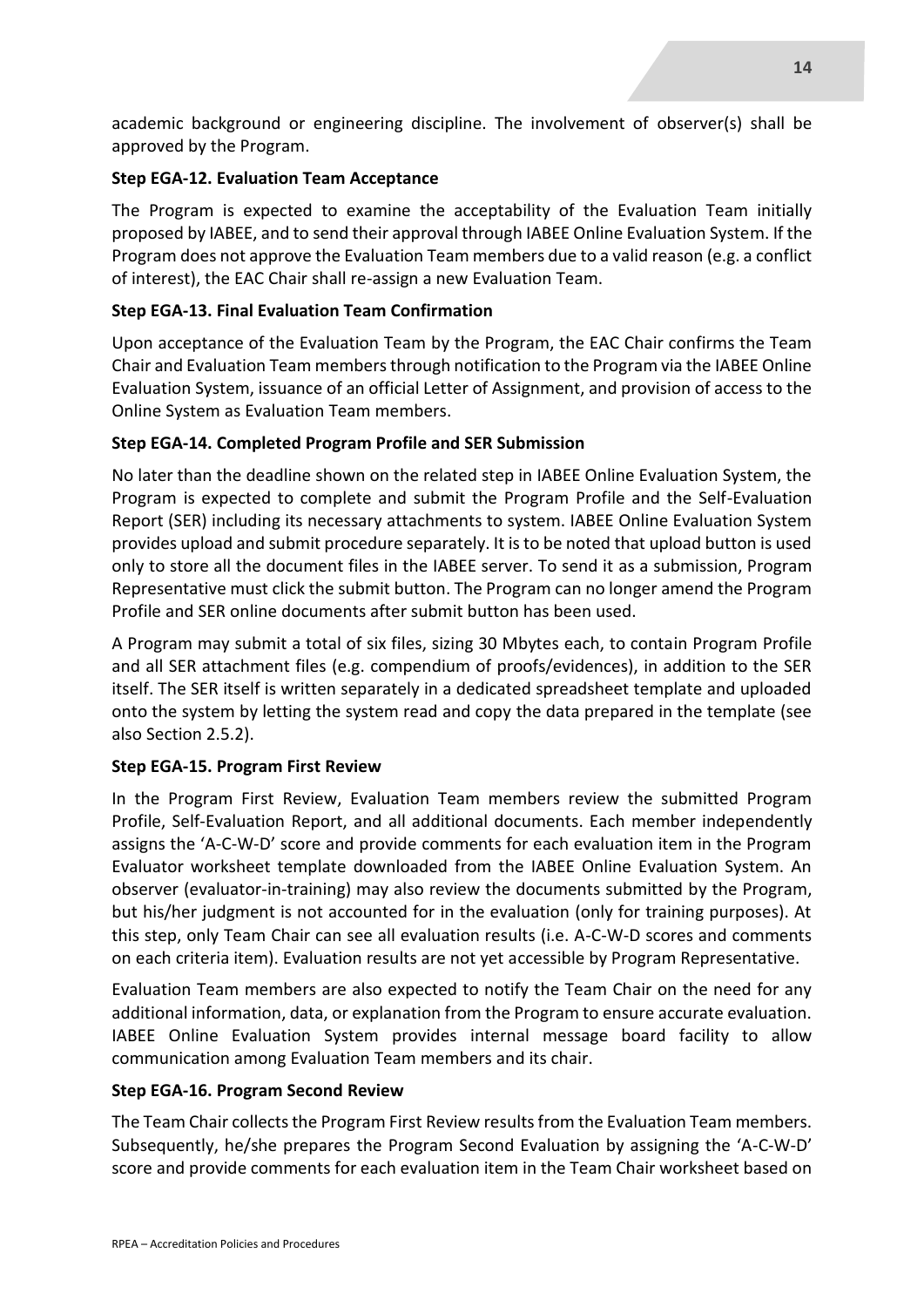academic background or engineering discipline. The involvement of observer(s) shall be approved by the Program.

#### **Step EGA-12. Evaluation Team Acceptance**

The Program is expected to examine the acceptability of the Evaluation Team initially proposed by IABEE, and to send their approval through IABEE Online Evaluation System. If the Program does not approve the Evaluation Team members due to a valid reason (e.g. a conflict of interest), the EAC Chair shall re-assign a new Evaluation Team.

#### **Step EGA-13. Final Evaluation Team Confirmation**

Upon acceptance of the Evaluation Team by the Program, the EAC Chair confirms the Team Chair and Evaluation Team members through notification to the Program via the IABEE Online Evaluation System, issuance of an official Letter of Assignment, and provision of access to the Online System as Evaluation Team members.

#### **Step EGA-14. Completed Program Profile and SER Submission**

No later than the deadline shown on the related step in IABEE Online Evaluation System, the Program is expected to complete and submit the Program Profile and the Self-Evaluation Report (SER) including its necessary attachments to system. IABEE Online Evaluation System provides upload and submit procedure separately. It is to be noted that upload button is used only to store all the document files in the IABEE server. To send it as a submission, Program Representative must click the submit button. The Program can no longer amend the Program Profile and SER online documents after submit button has been used.

A Program may submit a total of six files, sizing 30 Mbytes each, to contain Program Profile and all SER attachment files (e.g. compendium of proofs/evidences), in addition to the SER itself. The SER itself is written separately in a dedicated spreadsheet template and uploaded onto the system by letting the system read and copy the data prepared in the template (see also Section 2.5.2).

#### **Step EGA-15. Program First Review**

In the Program First Review, Evaluation Team members review the submitted Program Profile, Self-Evaluation Report, and all additional documents. Each member independently assigns the 'A-C-W-D' score and provide comments for each evaluation item in the Program Evaluator worksheet template downloaded from the IABEE Online Evaluation System. An observer (evaluator-in-training) may also review the documents submitted by the Program, but his/her judgment is not accounted for in the evaluation (only for training purposes). At this step, only Team Chair can see all evaluation results (i.e. A-C-W-D scores and comments on each criteria item). Evaluation results are not yet accessible by Program Representative.

Evaluation Team members are also expected to notify the Team Chair on the need for any additional information, data, or explanation from the Program to ensure accurate evaluation. IABEE Online Evaluation System provides internal message board facility to allow communication among Evaluation Team members and its chair.

#### **Step EGA-16. Program Second Review**

The Team Chair collects the Program First Review results from the Evaluation Team members. Subsequently, he/she prepares the Program Second Evaluation by assigning the 'A-C-W-D' score and provide comments for each evaluation item in the Team Chair worksheet based on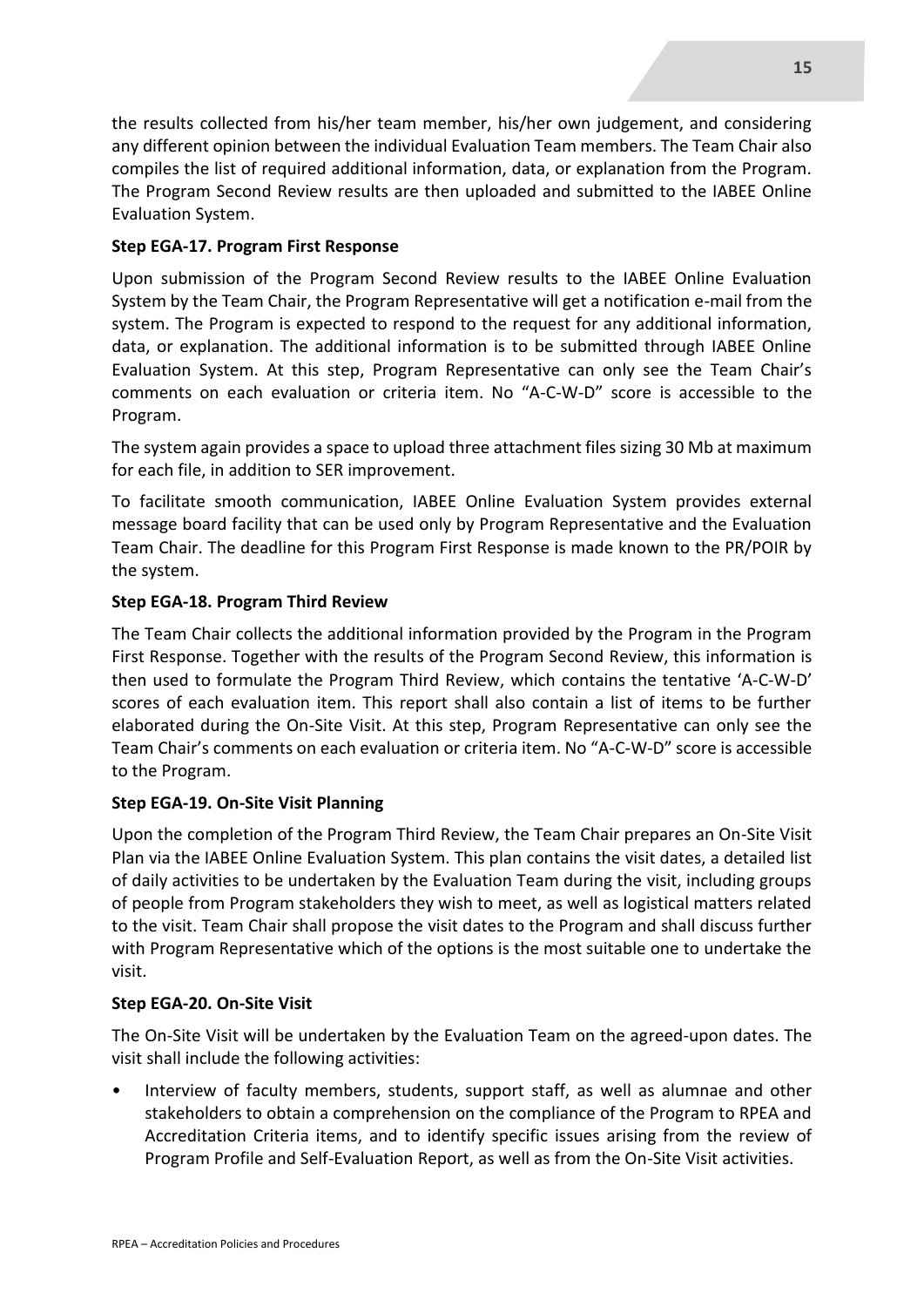the results collected from his/her team member, his/her own judgement, and considering any different opinion between the individual Evaluation Team members. The Team Chair also compiles the list of required additional information, data, or explanation from the Program. The Program Second Review results are then uploaded and submitted to the IABEE Online Evaluation System.

#### **Step EGA-17. Program First Response**

Upon submission of the Program Second Review results to the IABEE Online Evaluation System by the Team Chair, the Program Representative will get a notification e-mail from the system. The Program is expected to respond to the request for any additional information, data, or explanation. The additional information is to be submitted through IABEE Online Evaluation System. At this step, Program Representative can only see the Team Chair's comments on each evaluation or criteria item. No "A-C-W-D" score is accessible to the Program.

The system again provides a space to upload three attachment files sizing 30 Mb at maximum for each file, in addition to SER improvement.

To facilitate smooth communication, IABEE Online Evaluation System provides external message board facility that can be used only by Program Representative and the Evaluation Team Chair. The deadline for this Program First Response is made known to the PR/POIR by the system.

#### **Step EGA-18. Program Third Review**

The Team Chair collects the additional information provided by the Program in the Program First Response. Together with the results of the Program Second Review, this information is then used to formulate the Program Third Review, which contains the tentative 'A-C-W-D' scores of each evaluation item. This report shall also contain a list of items to be further elaborated during the On-Site Visit. At this step, Program Representative can only see the Team Chair's comments on each evaluation or criteria item. No "A-C-W-D" score is accessible to the Program.

#### **Step EGA-19. On-Site Visit Planning**

Upon the completion of the Program Third Review, the Team Chair prepares an On-Site Visit Plan via the IABEE Online Evaluation System. This plan contains the visit dates, a detailed list of daily activities to be undertaken by the Evaluation Team during the visit, including groups of people from Program stakeholders they wish to meet, as well as logistical matters related to the visit. Team Chair shall propose the visit dates to the Program and shall discuss further with Program Representative which of the options is the most suitable one to undertake the visit.

#### **Step EGA-20. On-Site Visit**

The On-Site Visit will be undertaken by the Evaluation Team on the agreed-upon dates. The visit shall include the following activities:

• Interview of faculty members, students, support staff, as well as alumnae and other stakeholders to obtain a comprehension on the compliance of the Program to RPEA and Accreditation Criteria items, and to identify specific issues arising from the review of Program Profile and Self-Evaluation Report, as well as from the On-Site Visit activities.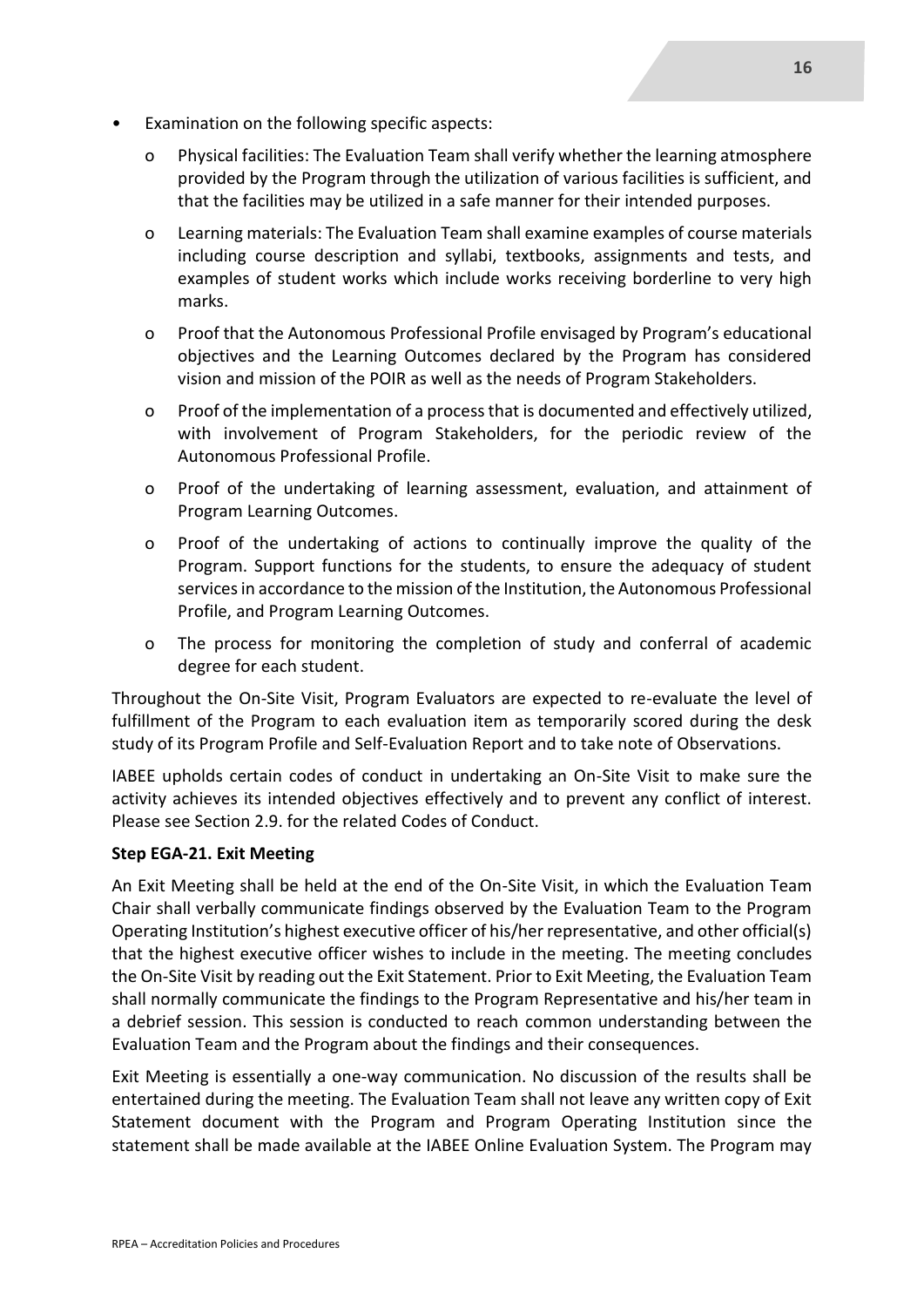- Examination on the following specific aspects:
	- o Physical facilities: The Evaluation Team shall verify whether the learning atmosphere provided by the Program through the utilization of various facilities is sufficient, and that the facilities may be utilized in a safe manner for their intended purposes.
	- o Learning materials: The Evaluation Team shall examine examples of course materials including course description and syllabi, textbooks, assignments and tests, and examples of student works which include works receiving borderline to very high marks.
	- o Proof that the Autonomous Professional Profile envisaged by Program's educational objectives and the Learning Outcomes declared by the Program has considered vision and mission of the POIR as well as the needs of Program Stakeholders.
	- o Proof of the implementation of a process that is documented and effectively utilized, with involvement of Program Stakeholders, for the periodic review of the Autonomous Professional Profile.
	- o Proof of the undertaking of learning assessment, evaluation, and attainment of Program Learning Outcomes.
	- o Proof of the undertaking of actions to continually improve the quality of the Program. Support functions for the students, to ensure the adequacy of student services in accordance to the mission of the Institution, the Autonomous Professional Profile, and Program Learning Outcomes.
	- o The process for monitoring the completion of study and conferral of academic degree for each student.

Throughout the On-Site Visit, Program Evaluators are expected to re-evaluate the level of fulfillment of the Program to each evaluation item as temporarily scored during the desk study of its Program Profile and Self-Evaluation Report and to take note of Observations.

IABEE upholds certain codes of conduct in undertaking an On-Site Visit to make sure the activity achieves its intended objectives effectively and to prevent any conflict of interest. Please see Section 2.9. for the related Codes of Conduct.

#### **Step EGA-21. Exit Meeting**

An Exit Meeting shall be held at the end of the On-Site Visit, in which the Evaluation Team Chair shall verbally communicate findings observed by the Evaluation Team to the Program Operating Institution's highest executive officer of his/her representative, and other official(s) that the highest executive officer wishes to include in the meeting. The meeting concludes the On-Site Visit by reading out the Exit Statement. Prior to Exit Meeting, the Evaluation Team shall normally communicate the findings to the Program Representative and his/her team in a debrief session. This session is conducted to reach common understanding between the Evaluation Team and the Program about the findings and their consequences.

Exit Meeting is essentially a one-way communication. No discussion of the results shall be entertained during the meeting. The Evaluation Team shall not leave any written copy of Exit Statement document with the Program and Program Operating Institution since the statement shall be made available at the IABEE Online Evaluation System. The Program may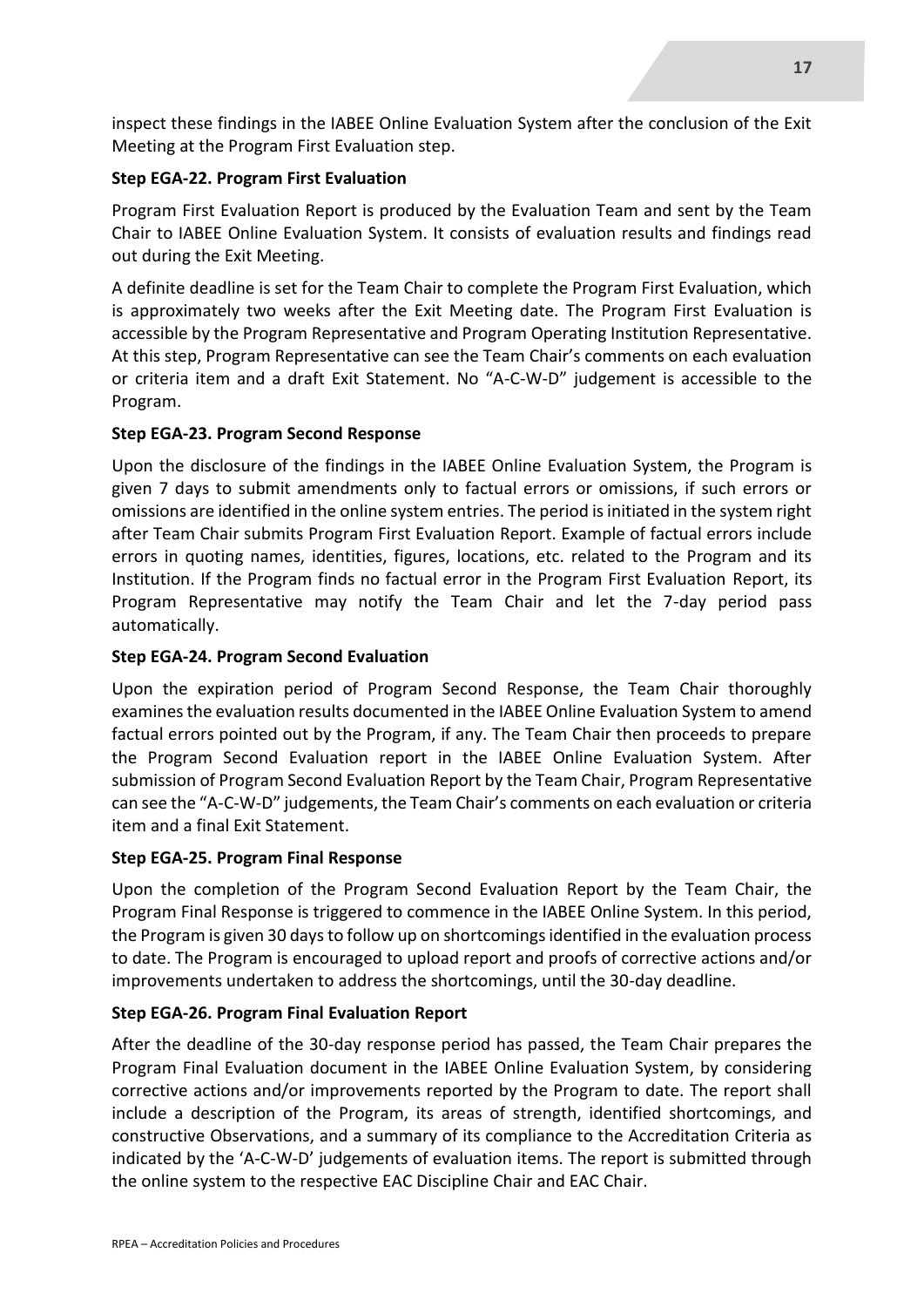inspect these findings in the IABEE Online Evaluation System after the conclusion of the Exit Meeting at the Program First Evaluation step.

#### **Step EGA-22. Program First Evaluation**

Program First Evaluation Report is produced by the Evaluation Team and sent by the Team Chair to IABEE Online Evaluation System. It consists of evaluation results and findings read out during the Exit Meeting.

A definite deadline is set for the Team Chair to complete the Program First Evaluation, which is approximately two weeks after the Exit Meeting date. The Program First Evaluation is accessible by the Program Representative and Program Operating Institution Representative. At this step, Program Representative can see the Team Chair's comments on each evaluation or criteria item and a draft Exit Statement. No "A-C-W-D" judgement is accessible to the Program.

#### **Step EGA-23. Program Second Response**

Upon the disclosure of the findings in the IABEE Online Evaluation System, the Program is given 7 days to submit amendments only to factual errors or omissions, if such errors or omissions are identified in the online system entries. The period is initiated in the system right after Team Chair submits Program First Evaluation Report. Example of factual errors include errors in quoting names, identities, figures, locations, etc. related to the Program and its Institution. If the Program finds no factual error in the Program First Evaluation Report, its Program Representative may notify the Team Chair and let the 7-day period pass automatically.

#### **Step EGA-24. Program Second Evaluation**

Upon the expiration period of Program Second Response, the Team Chair thoroughly examines the evaluation results documented in the IABEE Online Evaluation System to amend factual errors pointed out by the Program, if any. The Team Chair then proceeds to prepare the Program Second Evaluation report in the IABEE Online Evaluation System. After submission of Program Second Evaluation Report by the Team Chair, Program Representative can see the "A-C-W-D" judgements, the Team Chair's comments on each evaluation or criteria item and a final Exit Statement.

#### **Step EGA-25. Program Final Response**

Upon the completion of the Program Second Evaluation Report by the Team Chair, the Program Final Response is triggered to commence in the IABEE Online System. In this period, the Program is given 30 days to follow up on shortcomings identified in the evaluation process to date. The Program is encouraged to upload report and proofs of corrective actions and/or improvements undertaken to address the shortcomings, until the 30-day deadline.

#### **Step EGA-26. Program Final Evaluation Report**

After the deadline of the 30-day response period has passed, the Team Chair prepares the Program Final Evaluation document in the IABEE Online Evaluation System, by considering corrective actions and/or improvements reported by the Program to date. The report shall include a description of the Program, its areas of strength, identified shortcomings, and constructive Observations, and a summary of its compliance to the Accreditation Criteria as indicated by the 'A-C-W-D' judgements of evaluation items. The report is submitted through the online system to the respective EAC Discipline Chair and EAC Chair.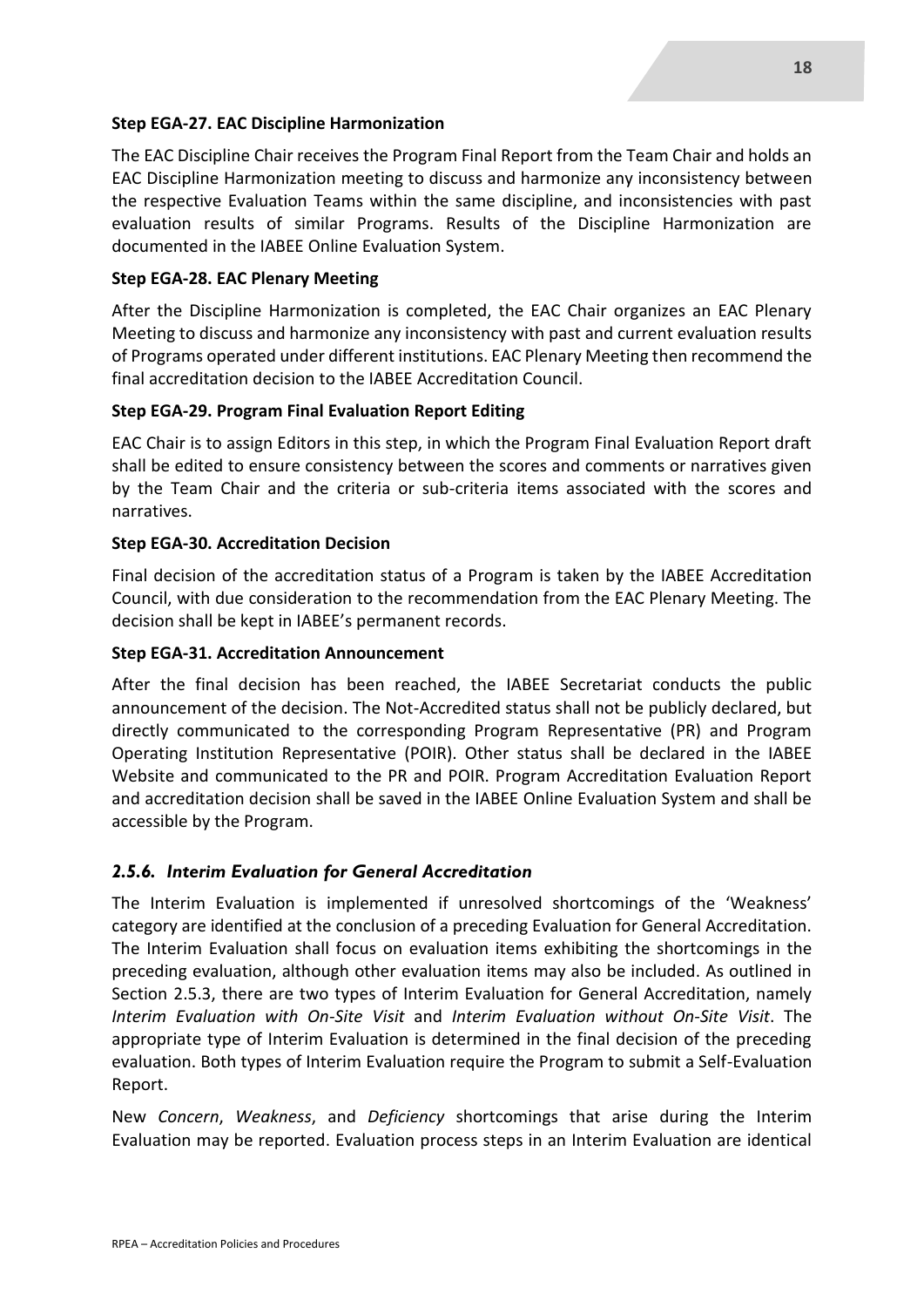#### **Step EGA-27. EAC Discipline Harmonization**

The EAC Discipline Chair receives the Program Final Report from the Team Chair and holds an EAC Discipline Harmonization meeting to discuss and harmonize any inconsistency between the respective Evaluation Teams within the same discipline, and inconsistencies with past evaluation results of similar Programs. Results of the Discipline Harmonization are documented in the IABEE Online Evaluation System.

#### **Step EGA-28. EAC Plenary Meeting**

After the Discipline Harmonization is completed, the EAC Chair organizes an EAC Plenary Meeting to discuss and harmonize any inconsistency with past and current evaluation results of Programs operated under different institutions. EAC Plenary Meeting then recommend the final accreditation decision to the IABEE Accreditation Council.

#### **Step EGA-29. Program Final Evaluation Report Editing**

EAC Chair is to assign Editors in this step, in which the Program Final Evaluation Report draft shall be edited to ensure consistency between the scores and comments or narratives given by the Team Chair and the criteria or sub-criteria items associated with the scores and narratives.

#### **Step EGA-30. Accreditation Decision**

Final decision of the accreditation status of a Program is taken by the IABEE Accreditation Council, with due consideration to the recommendation from the EAC Plenary Meeting. The decision shall be kept in IABEE's permanent records.

#### **Step EGA-31. Accreditation Announcement**

After the final decision has been reached, the IABEE Secretariat conducts the public announcement of the decision. The Not-Accredited status shall not be publicly declared, but directly communicated to the corresponding Program Representative (PR) and Program Operating Institution Representative (POIR). Other status shall be declared in the IABEE Website and communicated to the PR and POIR. Program Accreditation Evaluation Report and accreditation decision shall be saved in the IABEE Online Evaluation System and shall be accessible by the Program.

#### *2.5.6. Interim Evaluation for General Accreditation*

The Interim Evaluation is implemented if unresolved shortcomings of the 'Weakness' category are identified at the conclusion of a preceding Evaluation for General Accreditation. The Interim Evaluation shall focus on evaluation items exhibiting the shortcomings in the preceding evaluation, although other evaluation items may also be included. As outlined in Section 2.5.3, there are two types of Interim Evaluation for General Accreditation, namely *Interim Evaluation with On-Site Visit* and *Interim Evaluation without On-Site Visit*. The appropriate type of Interim Evaluation is determined in the final decision of the preceding evaluation. Both types of Interim Evaluation require the Program to submit a Self-Evaluation Report.

New *Concern*, *Weakness*, and *Deficiency* shortcomings that arise during the Interim Evaluation may be reported. Evaluation process steps in an Interim Evaluation are identical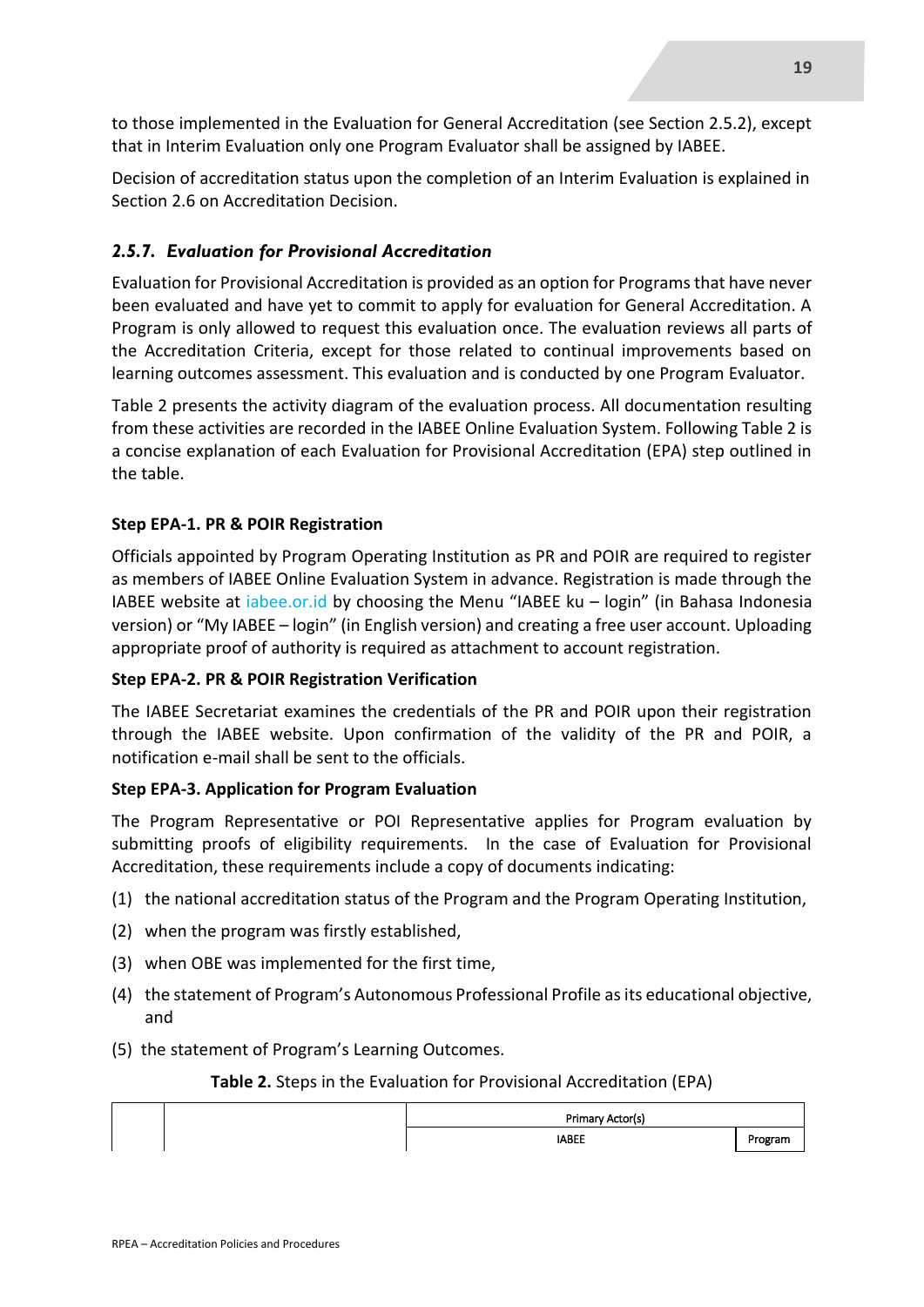to those implemented in the Evaluation for General Accreditation (see Section 2.5.2), except that in Interim Evaluation only one Program Evaluator shall be assigned by IABEE.

Decision of accreditation status upon the completion of an Interim Evaluation is explained in Section 2.6 on Accreditation Decision.

#### *2.5.7. Evaluation for Provisional Accreditation*

Evaluation for Provisional Accreditation is provided as an option for Programs that have never been evaluated and have yet to commit to apply for evaluation for General Accreditation. A Program is only allowed to request this evaluation once. The evaluation reviews all parts of the Accreditation Criteria, except for those related to continual improvements based on learning outcomes assessment. This evaluation and is conducted by one Program Evaluator.

Table 2 presents the activity diagram of the evaluation process. All documentation resulting from these activities are recorded in the IABEE Online Evaluation System. Following Table 2 is a concise explanation of each Evaluation for Provisional Accreditation (EPA) step outlined in the table.

#### **Step EPA-1. PR & POIR Registration**

Officials appointed by Program Operating Institution as PR and POIR are required to register as members of IABEE Online Evaluation System in advance. Registration is made through the IABEE website at iabee.or.id by choosing the Menu "IABEE ku – login" (in Bahasa Indonesia version) or "My IABEE – login" (in English version) and creating a free user account. Uploading appropriate proof of authority is required as attachment to account registration.

#### **Step EPA-2. PR & POIR Registration Verification**

The IABEE Secretariat examines the credentials of the PR and POIR upon their registration through the IABEE website. Upon confirmation of the validity of the PR and POIR, a notification e-mail shall be sent to the officials.

#### **Step EPA-3. Application for Program Evaluation**

The Program Representative or POI Representative applies for Program evaluation by submitting proofs of eligibility requirements. In the case of Evaluation for Provisional Accreditation, these requirements include a copy of documents indicating:

- (1) the national accreditation status of the Program and the Program Operating Institution,
- (2) when the program was firstly established,
- (3) when OBE was implemented for the first time,
- (4) the statement of Program's Autonomous Professional Profile as its educational objective, and
- (5) the statement of Program's Learning Outcomes.

#### **Table 2.** Steps in the Evaluation for Provisional Accreditation (EPA)

| Primary Actor(s) |         |  |  |
|------------------|---------|--|--|
| <b>IABEE</b>     | Program |  |  |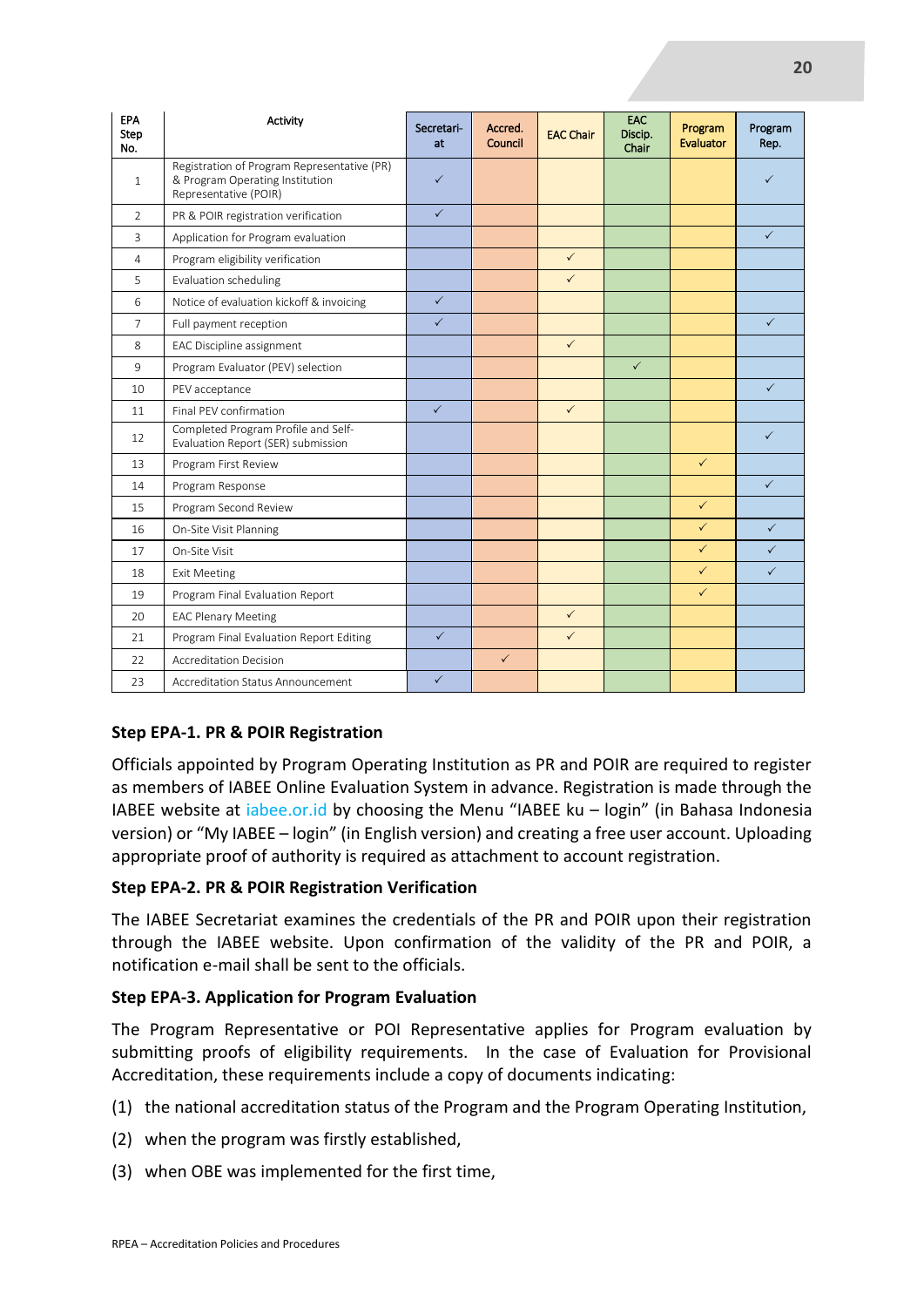| <b>EPA</b><br>Step<br>No. | Activity                                                                                                | Secretari-<br>at | Accred.<br>Council | <b>EAC Chair</b> | EAC<br>Discip.<br>Chair | Program<br>Evaluator | Program<br>Rep. |
|---------------------------|---------------------------------------------------------------------------------------------------------|------------------|--------------------|------------------|-------------------------|----------------------|-----------------|
| $\mathbf{1}$              | Registration of Program Representative (PR)<br>& Program Operating Institution<br>Representative (POIR) | $\checkmark$     |                    |                  |                         |                      |                 |
| $\mathcal{P}$             | PR & POIR registration verification                                                                     | $\checkmark$     |                    |                  |                         |                      |                 |
| 3                         | Application for Program evaluation                                                                      |                  |                    |                  |                         |                      | $\checkmark$    |
| 4                         | Program eligibility verification                                                                        |                  |                    | $\checkmark$     |                         |                      |                 |
| 5                         | Evaluation scheduling                                                                                   |                  |                    | $\checkmark$     |                         |                      |                 |
| 6                         | Notice of evaluation kickoff & invoicing                                                                | $\checkmark$     |                    |                  |                         |                      |                 |
| $\overline{7}$            | Full payment reception                                                                                  | $\checkmark$     |                    |                  |                         |                      | $\checkmark$    |
| 8                         | EAC Discipline assignment                                                                               |                  |                    | $\checkmark$     |                         |                      |                 |
| 9                         | Program Evaluator (PEV) selection                                                                       |                  |                    |                  | $\checkmark$            |                      |                 |
| 10                        | PEV acceptance                                                                                          |                  |                    |                  |                         |                      | $\checkmark$    |
| 11                        | Final PFV confirmation                                                                                  | $\checkmark$     |                    | $\checkmark$     |                         |                      |                 |
| 12                        | Completed Program Profile and Self-<br>Evaluation Report (SER) submission                               |                  |                    |                  |                         |                      | $\checkmark$    |
| 13                        | Program First Review                                                                                    |                  |                    |                  |                         | $\checkmark$         |                 |
| 14                        | Program Response                                                                                        |                  |                    |                  |                         |                      | $\checkmark$    |
| 15                        | Program Second Review                                                                                   |                  |                    |                  |                         | $\checkmark$         |                 |
| 16                        | On-Site Visit Planning                                                                                  |                  |                    |                  |                         | $\checkmark$         | $\checkmark$    |
| 17                        | On-Site Visit                                                                                           |                  |                    |                  |                         | $\checkmark$         | $\checkmark$    |
| 18                        | <b>Exit Meeting</b>                                                                                     |                  |                    |                  |                         | $\checkmark$         | $\checkmark$    |
| 19                        | Program Final Evaluation Report                                                                         |                  |                    |                  |                         | $\checkmark$         |                 |
| 20                        | <b>EAC Plenary Meeting</b>                                                                              |                  |                    | $\checkmark$     |                         |                      |                 |
| 21                        | Program Final Evaluation Report Editing                                                                 | $\checkmark$     |                    | $\checkmark$     |                         |                      |                 |
| 22                        | <b>Accreditation Decision</b>                                                                           |                  | $\checkmark$       |                  |                         |                      |                 |
| 23                        | Accreditation Status Announcement                                                                       | $\checkmark$     |                    |                  |                         |                      |                 |

#### **Step EPA-1. PR & POIR Registration**

Officials appointed by Program Operating Institution as PR and POIR are required to register as members of IABEE Online Evaluation System in advance. Registration is made through the IABEE website at iabee.or.id by choosing the Menu "IABEE ku – login" (in Bahasa Indonesia version) or "My IABEE – login" (in English version) and creating a free user account. Uploading appropriate proof of authority is required as attachment to account registration.

#### **Step EPA-2. PR & POIR Registration Verification**

The IABEE Secretariat examines the credentials of the PR and POIR upon their registration through the IABEE website. Upon confirmation of the validity of the PR and POIR, a notification e-mail shall be sent to the officials.

#### **Step EPA-3. Application for Program Evaluation**

The Program Representative or POI Representative applies for Program evaluation by submitting proofs of eligibility requirements. In the case of Evaluation for Provisional Accreditation, these requirements include a copy of documents indicating:

- (1) the national accreditation status of the Program and the Program Operating Institution,
- (2) when the program was firstly established,
- (3) when OBE was implemented for the first time,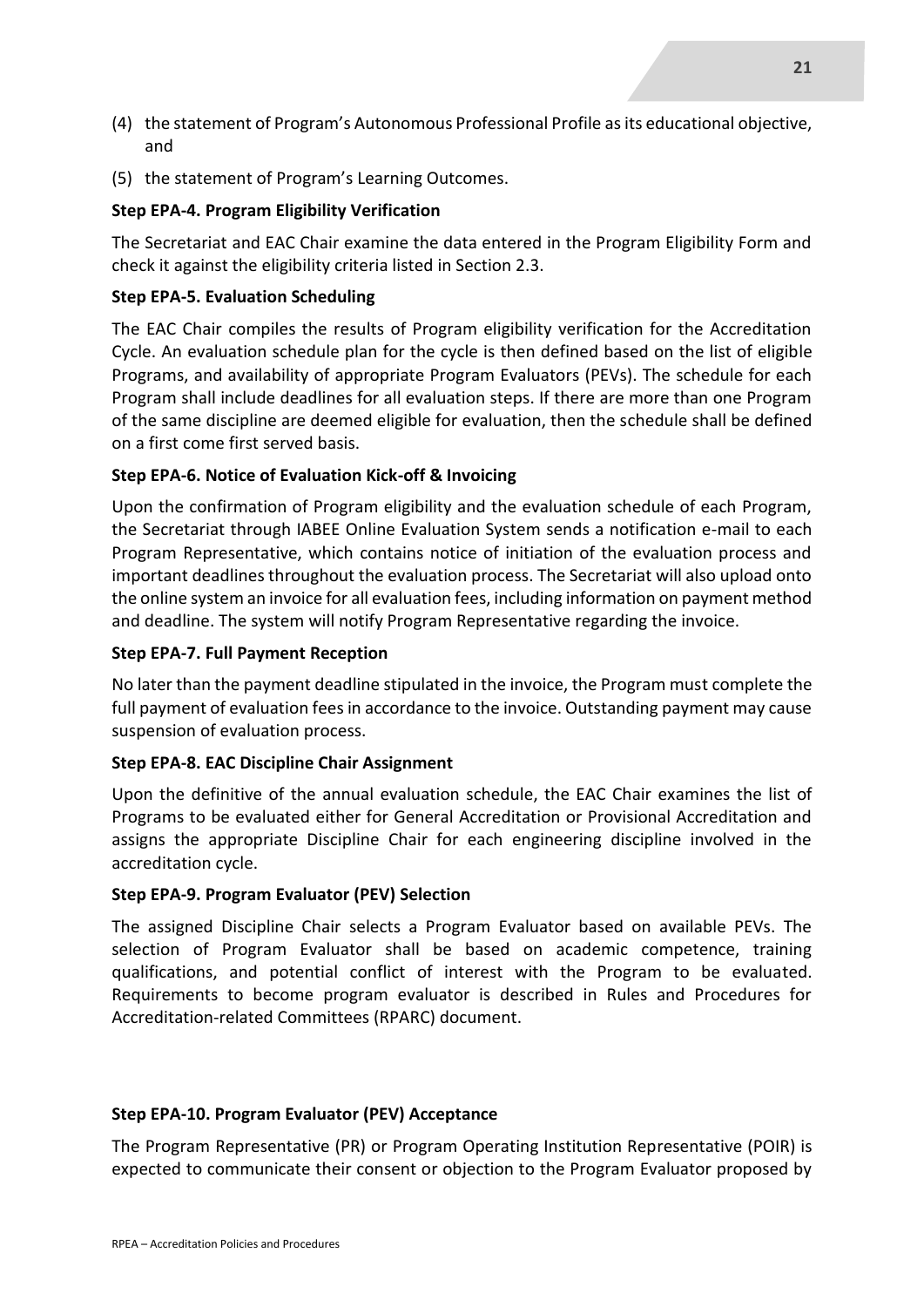- (4) the statement of Program's Autonomous Professional Profile as its educational objective, and
- (5) the statement of Program's Learning Outcomes.

#### **Step EPA-4. Program Eligibility Verification**

The Secretariat and EAC Chair examine the data entered in the Program Eligibility Form and check it against the eligibility criteria listed in Section 2.3.

#### **Step EPA-5. Evaluation Scheduling**

The EAC Chair compiles the results of Program eligibility verification for the Accreditation Cycle. An evaluation schedule plan for the cycle is then defined based on the list of eligible Programs, and availability of appropriate Program Evaluators (PEVs). The schedule for each Program shall include deadlines for all evaluation steps. If there are more than one Program of the same discipline are deemed eligible for evaluation, then the schedule shall be defined on a first come first served basis.

#### **Step EPA-6. Notice of Evaluation Kick-off & Invoicing**

Upon the confirmation of Program eligibility and the evaluation schedule of each Program, the Secretariat through IABEE Online Evaluation System sends a notification e-mail to each Program Representative, which contains notice of initiation of the evaluation process and important deadlines throughout the evaluation process. The Secretariat will also upload onto the online system an invoice for all evaluation fees, including information on payment method and deadline. The system will notify Program Representative regarding the invoice.

#### **Step EPA-7. Full Payment Reception**

No later than the payment deadline stipulated in the invoice, the Program must complete the full payment of evaluation fees in accordance to the invoice. Outstanding payment may cause suspension of evaluation process.

#### **Step EPA-8. EAC Discipline Chair Assignment**

Upon the definitive of the annual evaluation schedule, the EAC Chair examines the list of Programs to be evaluated either for General Accreditation or Provisional Accreditation and assigns the appropriate Discipline Chair for each engineering discipline involved in the accreditation cycle.

#### **Step EPA-9. Program Evaluator (PEV) Selection**

The assigned Discipline Chair selects a Program Evaluator based on available PEVs. The selection of Program Evaluator shall be based on academic competence, training qualifications, and potential conflict of interest with the Program to be evaluated. Requirements to become program evaluator is described in Rules and Procedures for Accreditation-related Committees (RPARC) document.

#### **Step EPA-10. Program Evaluator (PEV) Acceptance**

The Program Representative (PR) or Program Operating Institution Representative (POIR) is expected to communicate their consent or objection to the Program Evaluator proposed by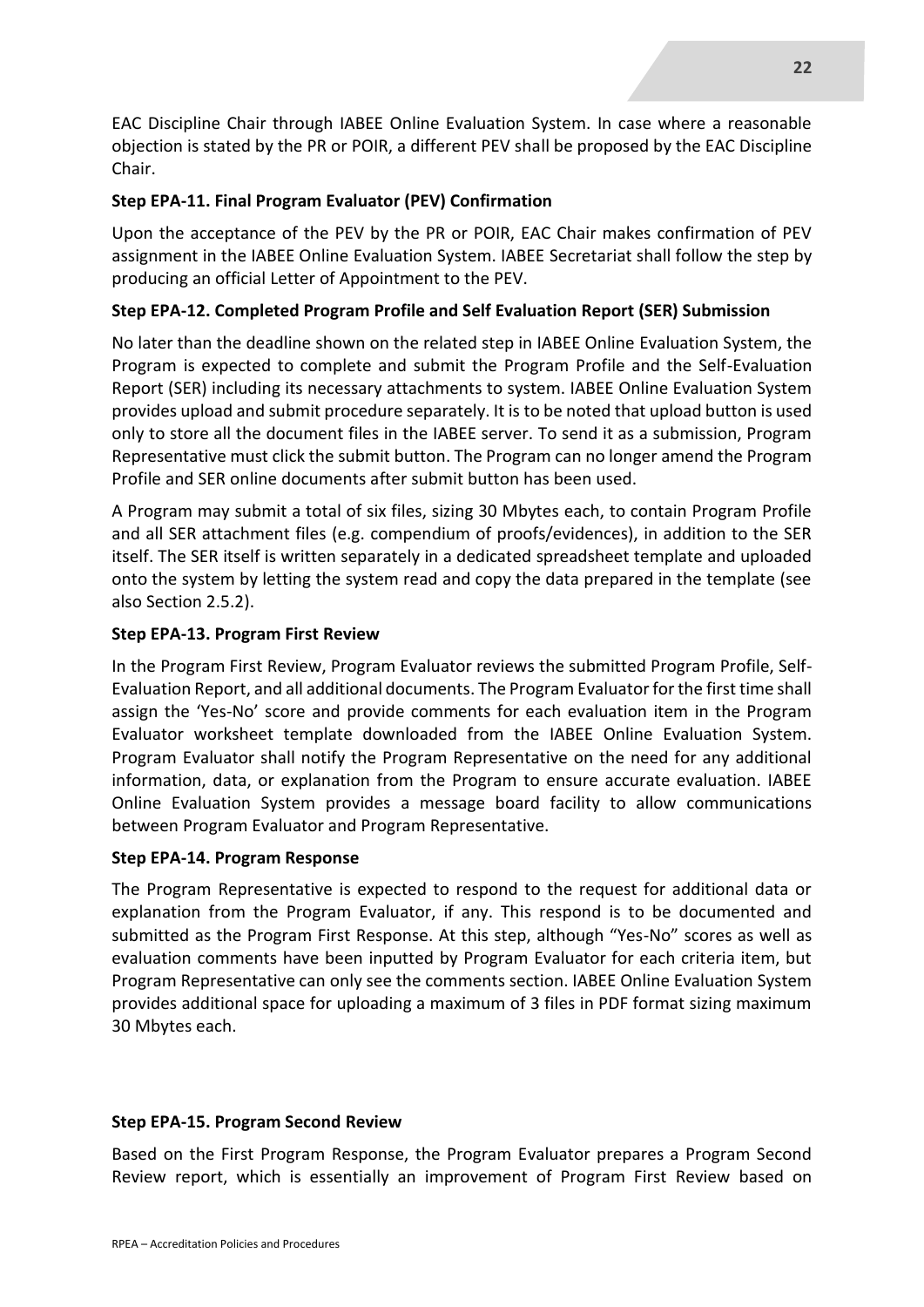EAC Discipline Chair through IABEE Online Evaluation System. In case where a reasonable objection is stated by the PR or POIR, a different PEV shall be proposed by the EAC Discipline Chair.

#### **Step EPA-11. Final Program Evaluator (PEV) Confirmation**

Upon the acceptance of the PEV by the PR or POIR, EAC Chair makes confirmation of PEV assignment in the IABEE Online Evaluation System. IABEE Secretariat shall follow the step by producing an official Letter of Appointment to the PEV.

#### **Step EPA-12. Completed Program Profile and Self Evaluation Report (SER) Submission**

No later than the deadline shown on the related step in IABEE Online Evaluation System, the Program is expected to complete and submit the Program Profile and the Self-Evaluation Report (SER) including its necessary attachments to system. IABEE Online Evaluation System provides upload and submit procedure separately. It is to be noted that upload button is used only to store all the document files in the IABEE server. To send it as a submission, Program Representative must click the submit button. The Program can no longer amend the Program Profile and SER online documents after submit button has been used.

A Program may submit a total of six files, sizing 30 Mbytes each, to contain Program Profile and all SER attachment files (e.g. compendium of proofs/evidences), in addition to the SER itself. The SER itself is written separately in a dedicated spreadsheet template and uploaded onto the system by letting the system read and copy the data prepared in the template (see also Section 2.5.2).

#### **Step EPA-13. Program First Review**

In the Program First Review, Program Evaluator reviews the submitted Program Profile, Self-Evaluation Report, and all additional documents. The Program Evaluator for the first time shall assign the 'Yes-No' score and provide comments for each evaluation item in the Program Evaluator worksheet template downloaded from the IABEE Online Evaluation System. Program Evaluator shall notify the Program Representative on the need for any additional information, data, or explanation from the Program to ensure accurate evaluation. IABEE Online Evaluation System provides a message board facility to allow communications between Program Evaluator and Program Representative.

#### **Step EPA-14. Program Response**

The Program Representative is expected to respond to the request for additional data or explanation from the Program Evaluator, if any. This respond is to be documented and submitted as the Program First Response. At this step, although "Yes-No" scores as well as evaluation comments have been inputted by Program Evaluator for each criteria item, but Program Representative can only see the comments section. IABEE Online Evaluation System provides additional space for uploading a maximum of 3 files in PDF format sizing maximum 30 Mbytes each.

#### **Step EPA-15. Program Second Review**

Based on the First Program Response, the Program Evaluator prepares a Program Second Review report, which is essentially an improvement of Program First Review based on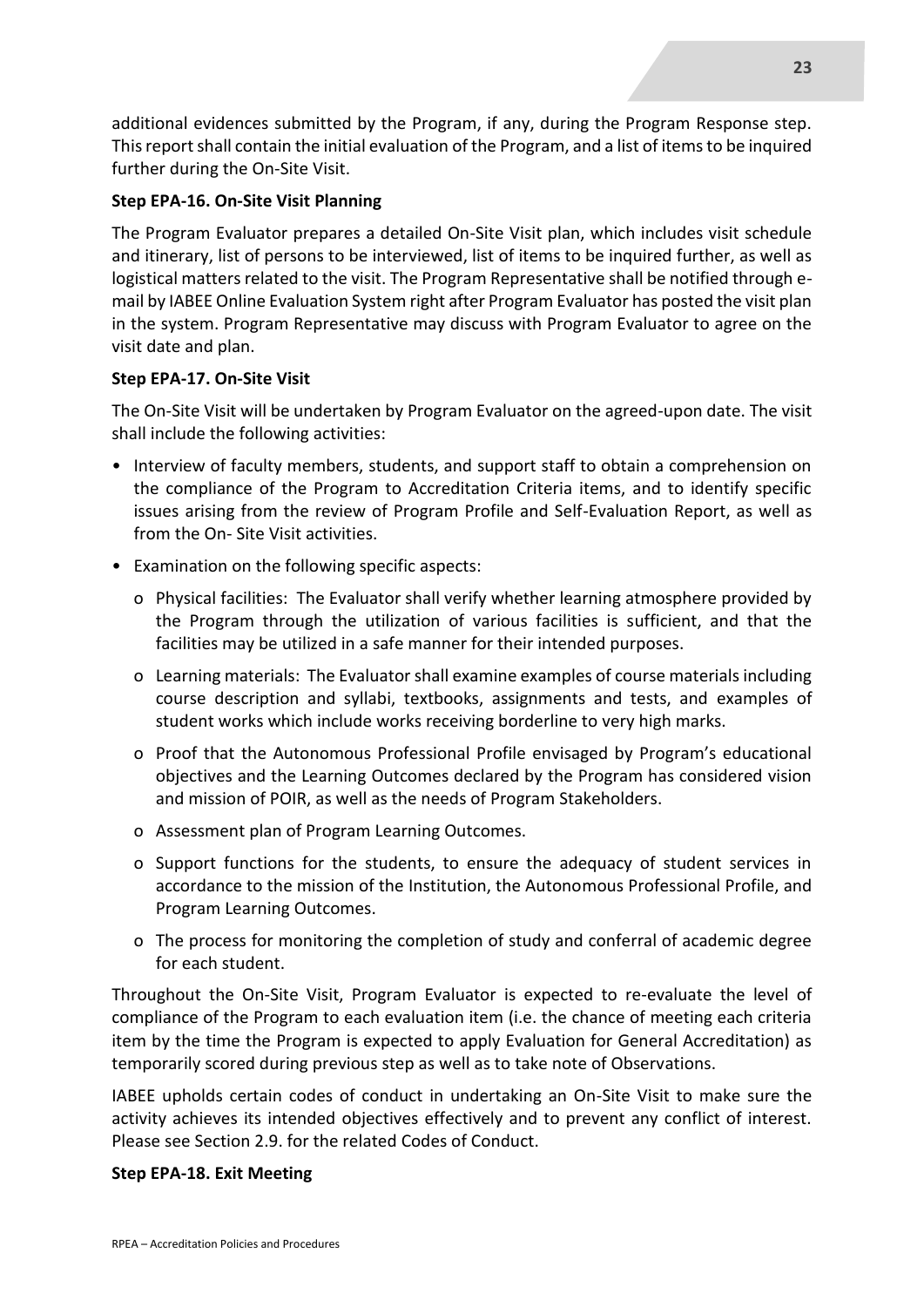additional evidences submitted by the Program, if any, during the Program Response step. This report shall contain the initial evaluation of the Program, and a list of items to be inquired further during the On-Site Visit.

#### **Step EPA-16. On-Site Visit Planning**

The Program Evaluator prepares a detailed On-Site Visit plan, which includes visit schedule and itinerary, list of persons to be interviewed, list of items to be inquired further, as well as logistical matters related to the visit. The Program Representative shall be notified through email by IABEE Online Evaluation System right after Program Evaluator has posted the visit plan in the system. Program Representative may discuss with Program Evaluator to agree on the visit date and plan.

#### **Step EPA-17. On-Site Visit**

The On-Site Visit will be undertaken by Program Evaluator on the agreed-upon date. The visit shall include the following activities:

- Interview of faculty members, students, and support staff to obtain a comprehension on the compliance of the Program to Accreditation Criteria items, and to identify specific issues arising from the review of Program Profile and Self-Evaluation Report, as well as from the On- Site Visit activities.
- Examination on the following specific aspects:
	- o Physical facilities: The Evaluator shall verify whether learning atmosphere provided by the Program through the utilization of various facilities is sufficient, and that the facilities may be utilized in a safe manner for their intended purposes.
	- o Learning materials: The Evaluator shall examine examples of course materials including course description and syllabi, textbooks, assignments and tests, and examples of student works which include works receiving borderline to very high marks.
	- o Proof that the Autonomous Professional Profile envisaged by Program's educational objectives and the Learning Outcomes declared by the Program has considered vision and mission of POIR, as well as the needs of Program Stakeholders.
	- o Assessment plan of Program Learning Outcomes.
	- o Support functions for the students, to ensure the adequacy of student services in accordance to the mission of the Institution, the Autonomous Professional Profile, and Program Learning Outcomes.
	- o The process for monitoring the completion of study and conferral of academic degree for each student.

Throughout the On-Site Visit, Program Evaluator is expected to re-evaluate the level of compliance of the Program to each evaluation item (i.e. the chance of meeting each criteria item by the time the Program is expected to apply Evaluation for General Accreditation) as temporarily scored during previous step as well as to take note of Observations.

IABEE upholds certain codes of conduct in undertaking an On-Site Visit to make sure the activity achieves its intended objectives effectively and to prevent any conflict of interest. Please see Section 2.9. for the related Codes of Conduct.

#### **Step EPA-18. Exit Meeting**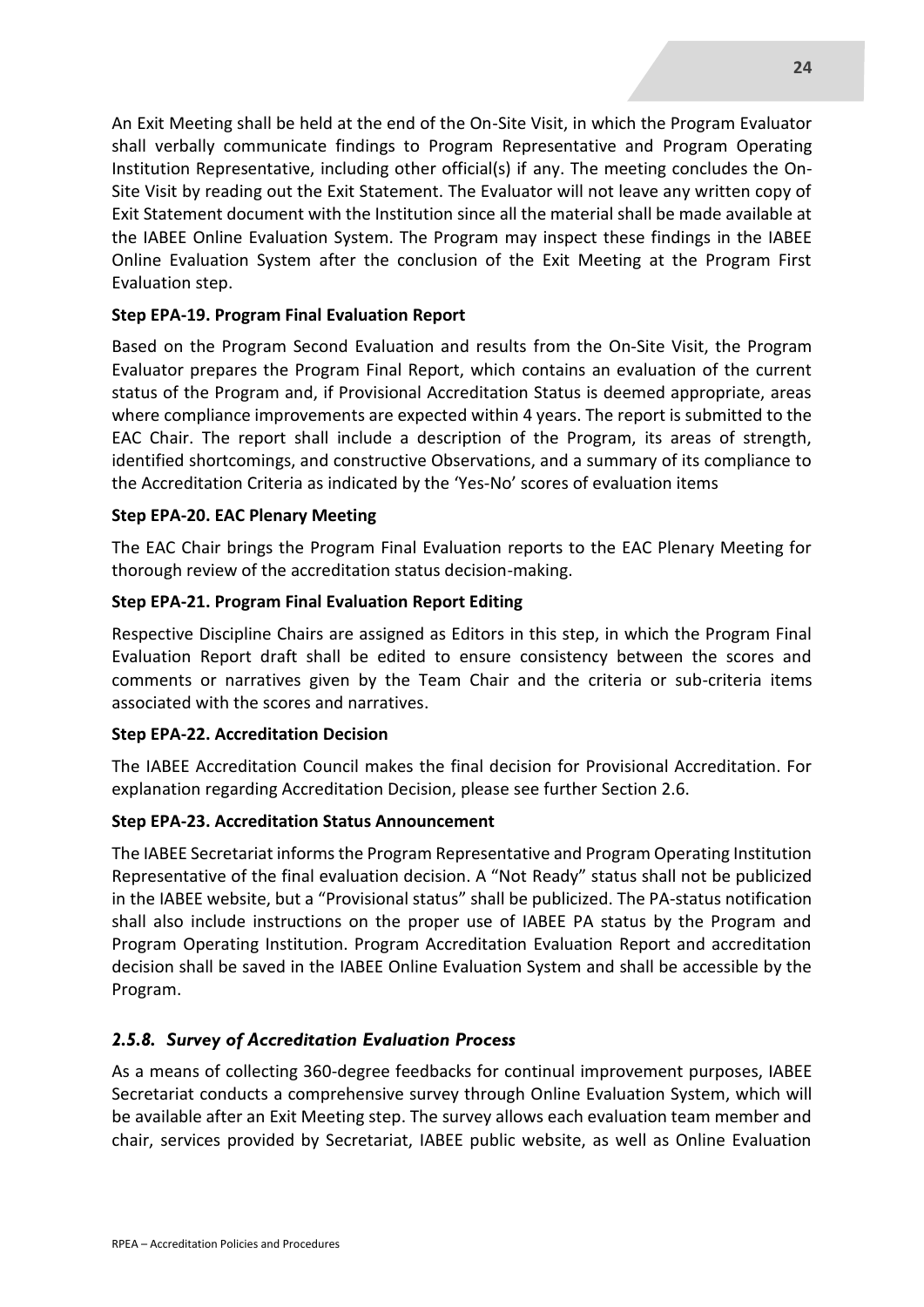An Exit Meeting shall be held at the end of the On-Site Visit, in which the Program Evaluator shall verbally communicate findings to Program Representative and Program Operating Institution Representative, including other official(s) if any. The meeting concludes the On-Site Visit by reading out the Exit Statement. The Evaluator will not leave any written copy of Exit Statement document with the Institution since all the material shall be made available at the IABEE Online Evaluation System. The Program may inspect these findings in the IABEE Online Evaluation System after the conclusion of the Exit Meeting at the Program First Evaluation step.

#### **Step EPA-19. Program Final Evaluation Report**

Based on the Program Second Evaluation and results from the On-Site Visit, the Program Evaluator prepares the Program Final Report, which contains an evaluation of the current status of the Program and, if Provisional Accreditation Status is deemed appropriate, areas where compliance improvements are expected within 4 years. The report is submitted to the EAC Chair. The report shall include a description of the Program, its areas of strength, identified shortcomings, and constructive Observations, and a summary of its compliance to the Accreditation Criteria as indicated by the 'Yes-No' scores of evaluation items

#### **Step EPA-20. EAC Plenary Meeting**

The EAC Chair brings the Program Final Evaluation reports to the EAC Plenary Meeting for thorough review of the accreditation status decision-making.

#### **Step EPA-21. Program Final Evaluation Report Editing**

Respective Discipline Chairs are assigned as Editors in this step, in which the Program Final Evaluation Report draft shall be edited to ensure consistency between the scores and comments or narratives given by the Team Chair and the criteria or sub-criteria items associated with the scores and narratives.

#### **Step EPA-22. Accreditation Decision**

The IABEE Accreditation Council makes the final decision for Provisional Accreditation. For explanation regarding Accreditation Decision, please see further Section 2.6.

#### **Step EPA-23. Accreditation Status Announcement**

The IABEE Secretariat informs the Program Representative and Program Operating Institution Representative of the final evaluation decision. A "Not Ready" status shall not be publicized in the IABEE website, but a "Provisional status" shall be publicized. The PA-status notification shall also include instructions on the proper use of IABEE PA status by the Program and Program Operating Institution. Program Accreditation Evaluation Report and accreditation decision shall be saved in the IABEE Online Evaluation System and shall be accessible by the Program.

#### *2.5.8. Survey of Accreditation Evaluation Process*

As a means of collecting 360-degree feedbacks for continual improvement purposes, IABEE Secretariat conducts a comprehensive survey through Online Evaluation System, which will be available after an Exit Meeting step. The survey allows each evaluation team member and chair, services provided by Secretariat, IABEE public website, as well as Online Evaluation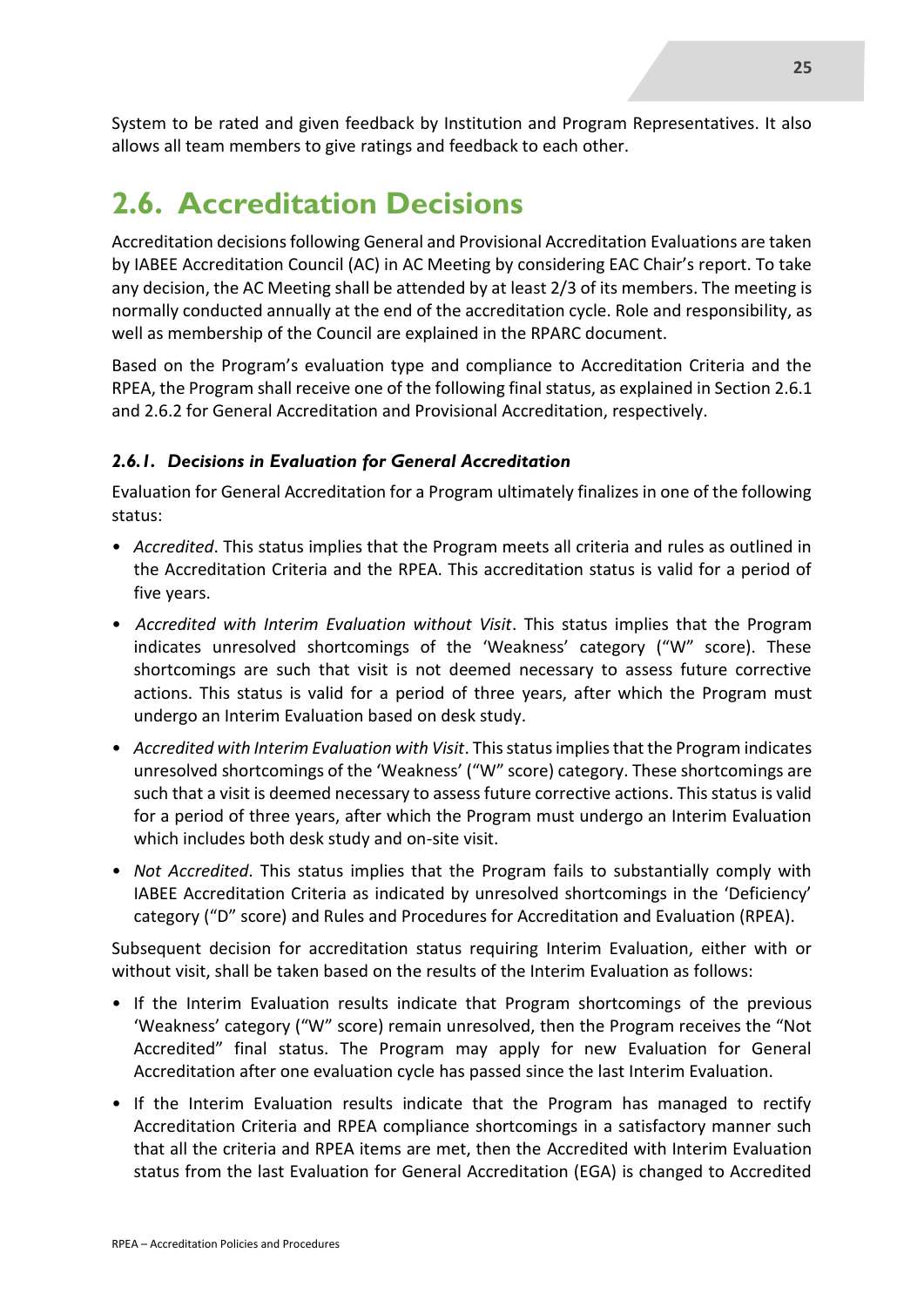System to be rated and given feedback by Institution and Program Representatives. It also allows all team members to give ratings and feedback to each other.

## **2.6. Accreditation Decisions**

Accreditation decisions following General and Provisional Accreditation Evaluations are taken by IABEE Accreditation Council (AC) in AC Meeting by considering EAC Chair's report. To take any decision, the AC Meeting shall be attended by at least 2/3 of its members. The meeting is normally conducted annually at the end of the accreditation cycle. Role and responsibility, as well as membership of the Council are explained in the RPARC document.

Based on the Program's evaluation type and compliance to Accreditation Criteria and the RPEA, the Program shall receive one of the following final status, as explained in Section 2.6.1 and 2.6.2 for General Accreditation and Provisional Accreditation, respectively.

#### *2.6.1. Decisions in Evaluation for General Accreditation*

Evaluation for General Accreditation for a Program ultimately finalizes in one of the following status:

- *Accredited*. This status implies that the Program meets all criteria and rules as outlined in the Accreditation Criteria and the RPEA. This accreditation status is valid for a period of five years.
- *Accredited with Interim Evaluation without Visit*. This status implies that the Program indicates unresolved shortcomings of the 'Weakness' category ("W" score). These shortcomings are such that visit is not deemed necessary to assess future corrective actions. This status is valid for a period of three years, after which the Program must undergo an Interim Evaluation based on desk study.
- *Accredited with Interim Evaluation with Visit*. This status implies that the Program indicates unresolved shortcomings of the 'Weakness' ("W" score) category. These shortcomings are such that a visit is deemed necessary to assess future corrective actions. This status is valid for a period of three years, after which the Program must undergo an Interim Evaluation which includes both desk study and on-site visit.
- *Not Accredited*. This status implies that the Program fails to substantially comply with IABEE Accreditation Criteria as indicated by unresolved shortcomings in the 'Deficiency' category ("D" score) and Rules and Procedures for Accreditation and Evaluation (RPEA).

Subsequent decision for accreditation status requiring Interim Evaluation, either with or without visit, shall be taken based on the results of the Interim Evaluation as follows:

- If the Interim Evaluation results indicate that Program shortcomings of the previous 'Weakness' category ("W" score) remain unresolved, then the Program receives the "Not Accredited" final status. The Program may apply for new Evaluation for General Accreditation after one evaluation cycle has passed since the last Interim Evaluation.
- If the Interim Evaluation results indicate that the Program has managed to rectify Accreditation Criteria and RPEA compliance shortcomings in a satisfactory manner such that all the criteria and RPEA items are met, then the Accredited with Interim Evaluation status from the last Evaluation for General Accreditation (EGA) is changed to Accredited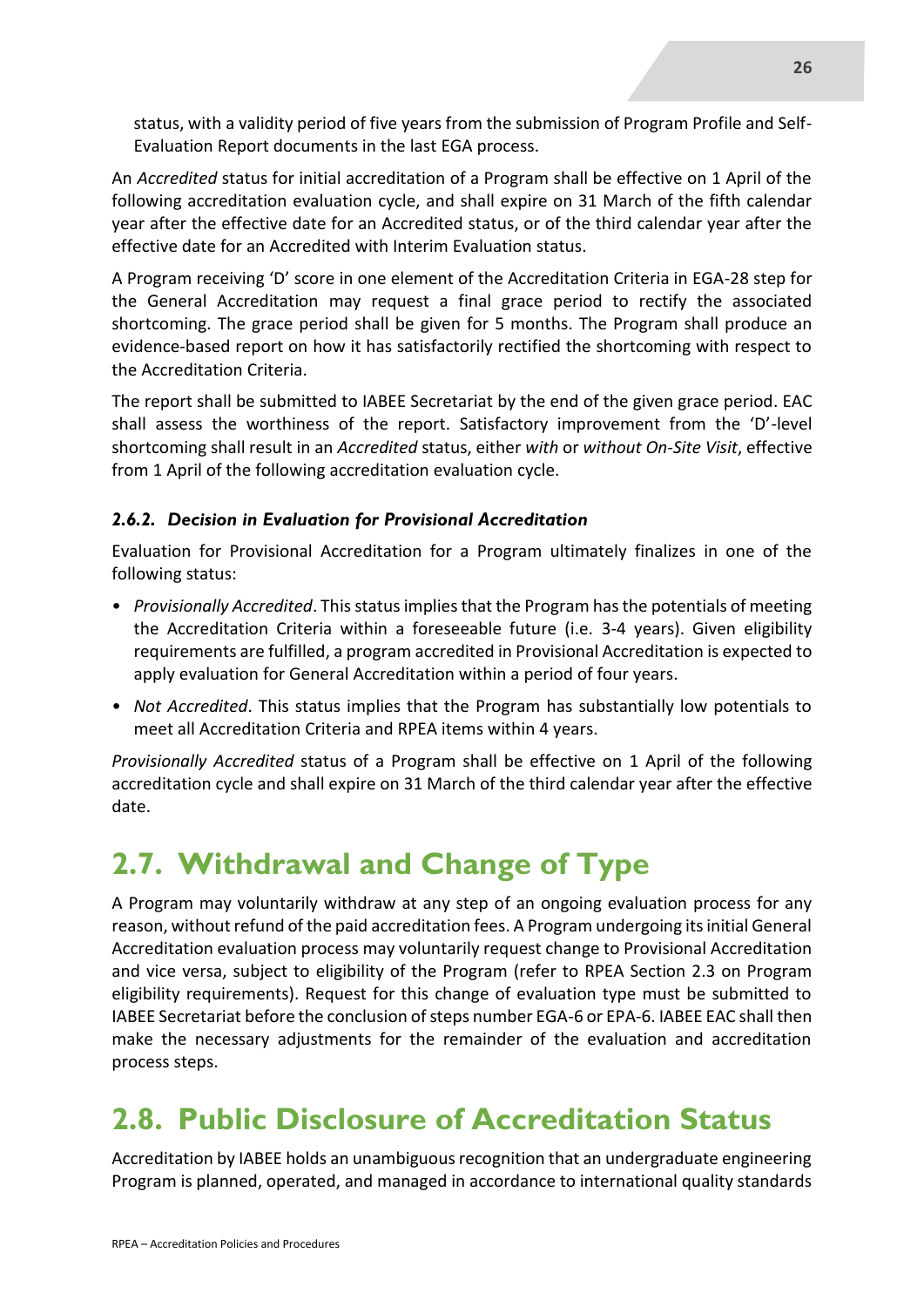status, with a validity period of five years from the submission of Program Profile and Self-Evaluation Report documents in the last EGA process.

An *Accredited* status for initial accreditation of a Program shall be effective on 1 April of the following accreditation evaluation cycle, and shall expire on 31 March of the fifth calendar year after the effective date for an Accredited status, or of the third calendar year after the effective date for an Accredited with Interim Evaluation status.

A Program receiving 'D' score in one element of the Accreditation Criteria in EGA-28 step for the General Accreditation may request a final grace period to rectify the associated shortcoming. The grace period shall be given for 5 months. The Program shall produce an evidence-based report on how it has satisfactorily rectified the shortcoming with respect to the Accreditation Criteria.

The report shall be submitted to IABEE Secretariat by the end of the given grace period. EAC shall assess the worthiness of the report. Satisfactory improvement from the 'D'-level shortcoming shall result in an *Accredited* status, either *with* or *without On-Site Visit*, effective from 1 April of the following accreditation evaluation cycle.

#### *2.6.2. Decision in Evaluation for Provisional Accreditation*

Evaluation for Provisional Accreditation for a Program ultimately finalizes in one of the following status:

- *Provisionally Accredited*. This status implies that the Program has the potentials of meeting the Accreditation Criteria within a foreseeable future (i.e. 3-4 years). Given eligibility requirements are fulfilled, a program accredited in Provisional Accreditation is expected to apply evaluation for General Accreditation within a period of four years.
- *Not Accredited*. This status implies that the Program has substantially low potentials to meet all Accreditation Criteria and RPEA items within 4 years.

*Provisionally Accredited* status of a Program shall be effective on 1 April of the following accreditation cycle and shall expire on 31 March of the third calendar year after the effective date.

## **2.7. Withdrawal and Change of Type**

A Program may voluntarily withdraw at any step of an ongoing evaluation process for any reason, without refund of the paid accreditation fees. A Program undergoing its initial General Accreditation evaluation process may voluntarily request change to Provisional Accreditation and vice versa, subject to eligibility of the Program (refer to RPEA Section 2.3 on Program eligibility requirements). Request for this change of evaluation type must be submitted to IABEE Secretariat before the conclusion of steps number EGA-6 or EPA-6. IABEE EAC shall then make the necessary adjustments for the remainder of the evaluation and accreditation process steps.

## **2.8. Public Disclosure of Accreditation Status**

Accreditation by IABEE holds an unambiguous recognition that an undergraduate engineering Program is planned, operated, and managed in accordance to international quality standards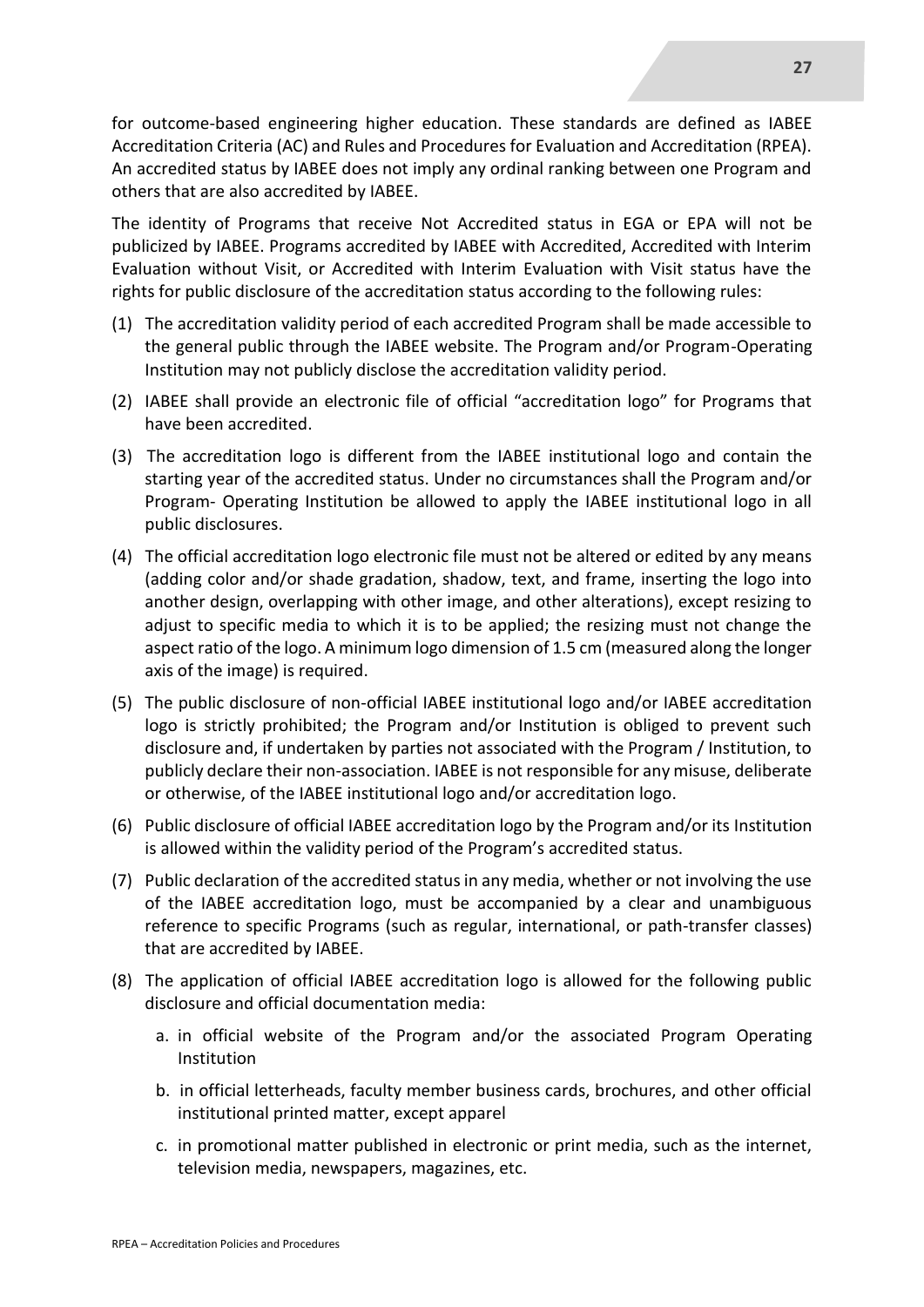for outcome-based engineering higher education. These standards are defined as IABEE Accreditation Criteria (AC) and Rules and Procedures for Evaluation and Accreditation (RPEA). An accredited status by IABEE does not imply any ordinal ranking between one Program and others that are also accredited by IABEE.

The identity of Programs that receive Not Accredited status in EGA or EPA will not be publicized by IABEE. Programs accredited by IABEE with Accredited, Accredited with Interim Evaluation without Visit, or Accredited with Interim Evaluation with Visit status have the rights for public disclosure of the accreditation status according to the following rules:

- (1) The accreditation validity period of each accredited Program shall be made accessible to the general public through the IABEE website. The Program and/or Program-Operating Institution may not publicly disclose the accreditation validity period.
- (2) IABEE shall provide an electronic file of official "accreditation logo" for Programs that have been accredited.
- (3) The accreditation logo is different from the IABEE institutional logo and contain the starting year of the accredited status. Under no circumstances shall the Program and/or Program- Operating Institution be allowed to apply the IABEE institutional logo in all public disclosures.
- (4) The official accreditation logo electronic file must not be altered or edited by any means (adding color and/or shade gradation, shadow, text, and frame, inserting the logo into another design, overlapping with other image, and other alterations), except resizing to adjust to specific media to which it is to be applied; the resizing must not change the aspect ratio of the logo. A minimum logo dimension of 1.5 cm (measured along the longer axis of the image) is required.
- (5) The public disclosure of non-official IABEE institutional logo and/or IABEE accreditation logo is strictly prohibited; the Program and/or Institution is obliged to prevent such disclosure and, if undertaken by parties not associated with the Program / Institution, to publicly declare their non-association. IABEE is not responsible for any misuse, deliberate or otherwise, of the IABEE institutional logo and/or accreditation logo.
- (6) Public disclosure of official IABEE accreditation logo by the Program and/or its Institution is allowed within the validity period of the Program's accredited status.
- (7) Public declaration of the accredited status in any media, whether or not involving the use of the IABEE accreditation logo, must be accompanied by a clear and unambiguous reference to specific Programs (such as regular, international, or path-transfer classes) that are accredited by IABEE.
- (8) The application of official IABEE accreditation logo is allowed for the following public disclosure and official documentation media:
	- a. in official website of the Program and/or the associated Program Operating Institution
	- b. in official letterheads, faculty member business cards, brochures, and other official institutional printed matter, except apparel
	- c. in promotional matter published in electronic or print media, such as the internet, television media, newspapers, magazines, etc.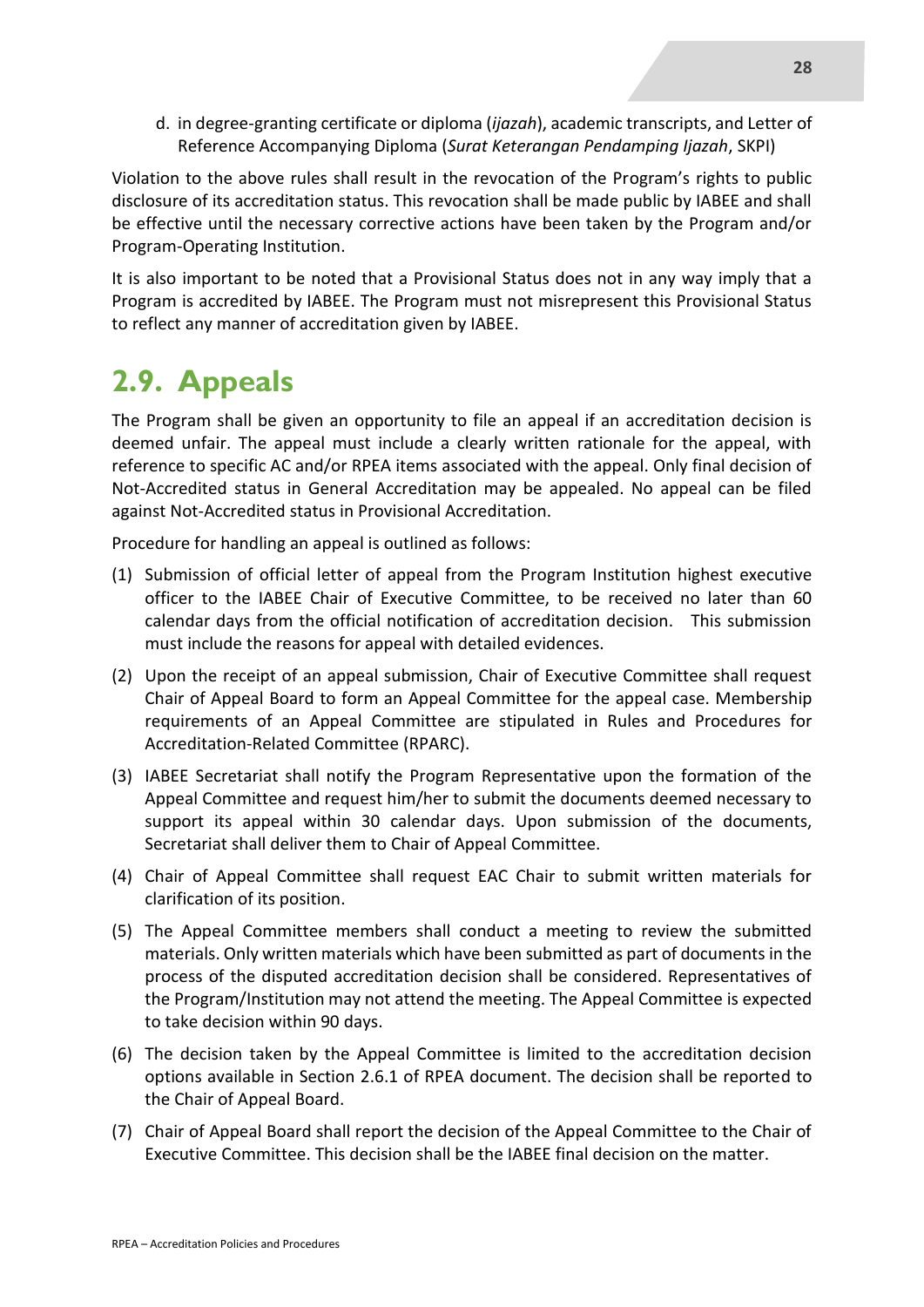d. in degree-granting certificate or diploma (*ijazah*), academic transcripts, and Letter of Reference Accompanying Diploma (*Surat Keterangan Pendamping Ijazah*, SKPI)

Violation to the above rules shall result in the revocation of the Program's rights to public disclosure of its accreditation status. This revocation shall be made public by IABEE and shall be effective until the necessary corrective actions have been taken by the Program and/or Program-Operating Institution.

It is also important to be noted that a Provisional Status does not in any way imply that a Program is accredited by IABEE. The Program must not misrepresent this Provisional Status to reflect any manner of accreditation given by IABEE.

## **2.9. Appeals**

The Program shall be given an opportunity to file an appeal if an accreditation decision is deemed unfair. The appeal must include a clearly written rationale for the appeal, with reference to specific AC and/or RPEA items associated with the appeal. Only final decision of Not-Accredited status in General Accreditation may be appealed. No appeal can be filed against Not-Accredited status in Provisional Accreditation.

Procedure for handling an appeal is outlined as follows:

- (1) Submission of official letter of appeal from the Program Institution highest executive officer to the IABEE Chair of Executive Committee, to be received no later than 60 calendar days from the official notification of accreditation decision. This submission must include the reasons for appeal with detailed evidences.
- (2) Upon the receipt of an appeal submission, Chair of Executive Committee shall request Chair of Appeal Board to form an Appeal Committee for the appeal case. Membership requirements of an Appeal Committee are stipulated in Rules and Procedures for Accreditation-Related Committee (RPARC).
- (3) IABEE Secretariat shall notify the Program Representative upon the formation of the Appeal Committee and request him/her to submit the documents deemed necessary to support its appeal within 30 calendar days. Upon submission of the documents, Secretariat shall deliver them to Chair of Appeal Committee.
- (4) Chair of Appeal Committee shall request EAC Chair to submit written materials for clarification of its position.
- (5) The Appeal Committee members shall conduct a meeting to review the submitted materials. Only written materials which have been submitted as part of documents in the process of the disputed accreditation decision shall be considered. Representatives of the Program/Institution may not attend the meeting. The Appeal Committee is expected to take decision within 90 days.
- (6) The decision taken by the Appeal Committee is limited to the accreditation decision options available in Section 2.6.1 of RPEA document. The decision shall be reported to the Chair of Appeal Board.
- (7) Chair of Appeal Board shall report the decision of the Appeal Committee to the Chair of Executive Committee. This decision shall be the IABEE final decision on the matter.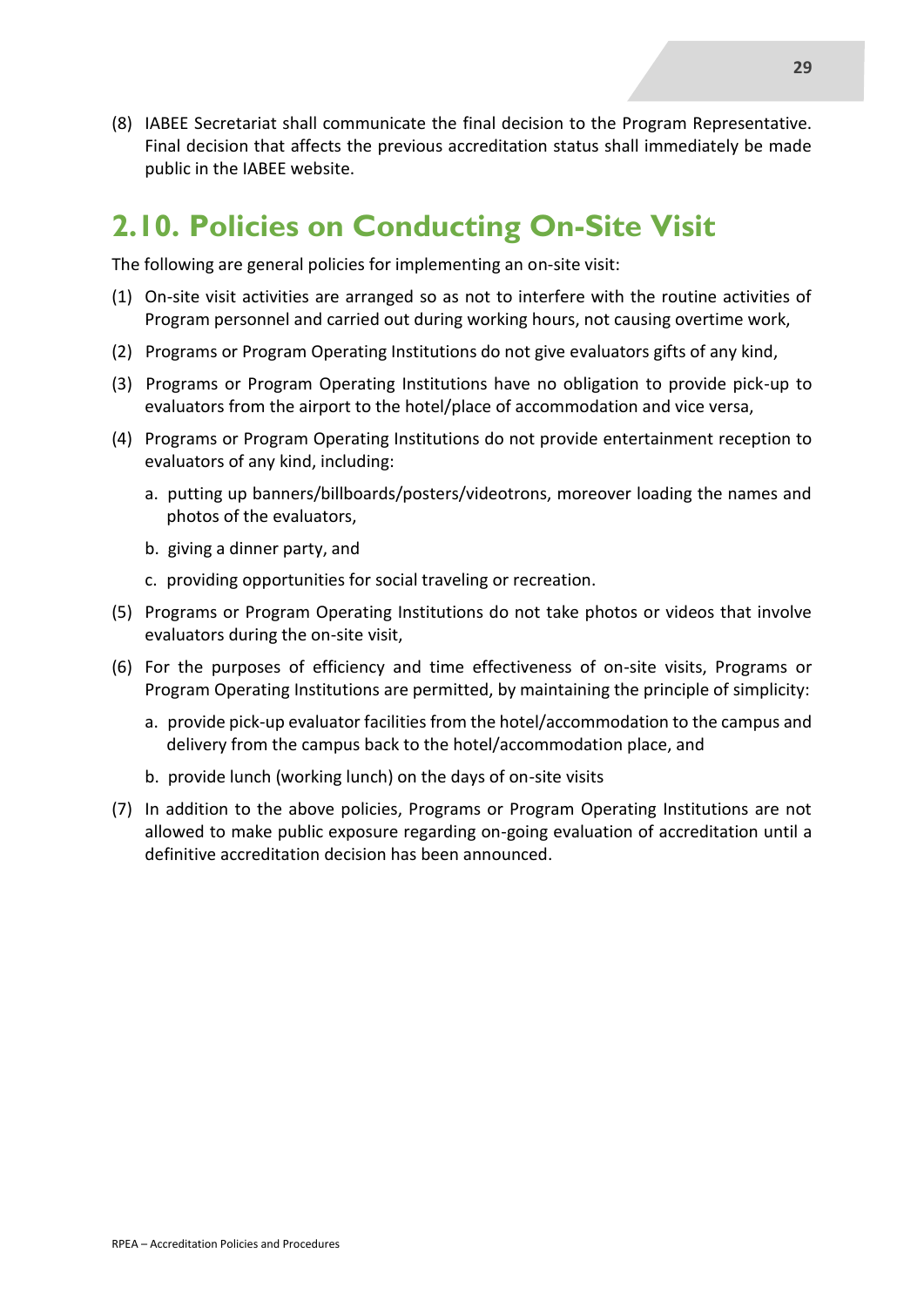(8) IABEE Secretariat shall communicate the final decision to the Program Representative. Final decision that affects the previous accreditation status shall immediately be made public in the IABEE website.

### **2.10. Policies on Conducting On-Site Visit**

The following are general policies for implementing an on-site visit:

- (1) On-site visit activities are arranged so as not to interfere with the routine activities of Program personnel and carried out during working hours, not causing overtime work,
- (2) Programs or Program Operating Institutions do not give evaluators gifts of any kind,
- (3) Programs or Program Operating Institutions have no obligation to provide pick-up to evaluators from the airport to the hotel/place of accommodation and vice versa,
- (4) Programs or Program Operating Institutions do not provide entertainment reception to evaluators of any kind, including:
	- a. putting up banners/billboards/posters/videotrons, moreover loading the names and photos of the evaluators,
	- b. giving a dinner party, and
	- c. providing opportunities for social traveling or recreation.
- (5) Programs or Program Operating Institutions do not take photos or videos that involve evaluators during the on-site visit,
- (6) For the purposes of efficiency and time effectiveness of on-site visits, Programs or Program Operating Institutions are permitted, by maintaining the principle of simplicity:
	- a. provide pick-up evaluator facilities from the hotel/accommodation to the campus and delivery from the campus back to the hotel/accommodation place, and
	- b. provide lunch (working lunch) on the days of on-site visits
- (7) In addition to the above policies, Programs or Program Operating Institutions are not allowed to make public exposure regarding on-going evaluation of accreditation until a definitive accreditation decision has been announced.